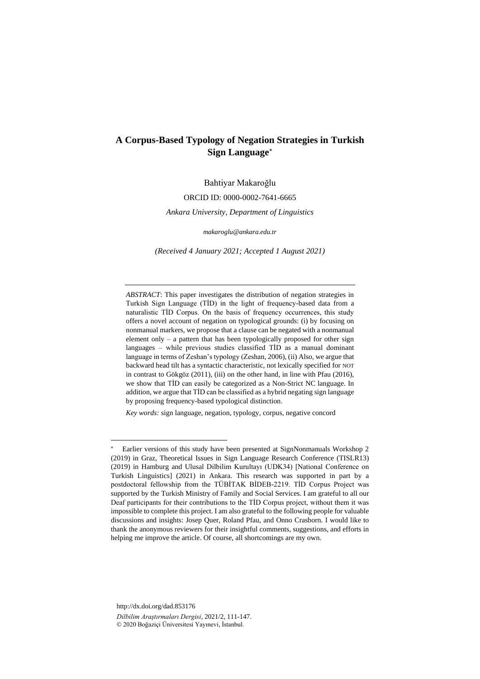# **A Corpus-Based Typology of Negation Strategies in Turkish Sign Language**

Bahtiyar Makaroğlu

ORCID ID: 0000-0002-7641-6665

*Ankara University, Department of Linguistics*

*[makaroglu@ankara.edu.tr](mailto:makaroglu@ankara.edu.tr)*

*(Received 4 January 2021; Accepted 1 August 2021)*

*ABSTRACT*: This paper investigates the distribution of negation strategies in Turkish Sign Language (TİD) in the light of frequency-based data from a naturalistic TİD Corpus. On the basis of frequency occurrences, this study offers a novel account of negation on typological grounds: (i) by focusing on nonmanual markers, we propose that a clause can be negated with a nonmanual element only – a pattern that has been typologically proposed for other sign languages – while previous studies classified TİD as a manual dominant language in terms of Zeshan's typology (Zeshan, 2006), (ii) Also, we argue that backward head tilt has a syntactic characteristic, not lexically specified for NOT in contrast to Gökgöz (2011), (iii) on the other hand, in line with Pfau (2016), we show that TİD can easily be categorized as a Non-Strict NC language. In addition, we argue that TİD can be classified as a hybrid negating sign language by proposing frequency-based typological distinction.

*Key words:* sign language, negation, typology, corpus, negative concord

http://dx.doi.org/dad.853176 *Dilbilim Araştırmaları Dergisi*, 2021/2, 111-147. © 2020 Boğaziçi Üniversitesi Yayınevi, İstanbul.

Earlier versions of this study have been presented at SignNonmanuals Workshop 2 (2019) in Graz, Theoretical Issues in Sign Language Research Conference (TISLR13) (2019) in Hamburg and Ulusal Dilbilim Kurultayı (UDK34) [National Conference on Turkish Linguistics] (2021) in Ankara. This research was supported in part by a postdoctoral fellowship from the TÜBİTAK BİDEB-2219. TİD Corpus Project was supported by the Turkish Ministry of Family and Social Services. I am grateful to all our Deaf participants for their contributions to the TİD Corpus project, without them it was impossible to complete this project. I am also grateful to the following people for valuable discussions and insights: Josep Quer, Roland Pfau, and Onno Crasborn. I would like to thank the anonymous reviewers for their insightful comments, suggestions, and efforts in helping me improve the article. Of course, all shortcomings are my own.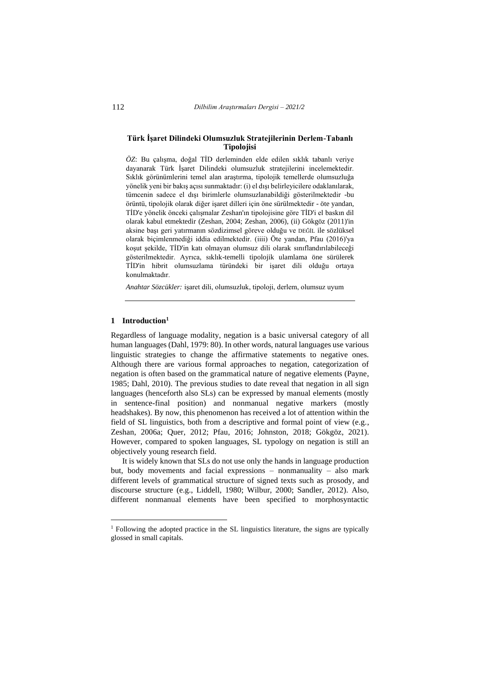### **Türk İşaret Dilindeki Olumsuzluk Stratejilerinin Derlem-Tabanlı Tipolojisi**

*ÖZ*: Bu çalışma, doğal TİD derleminden elde edilen sıklık tabanlı veriye dayanarak Türk İşaret Dilindeki olumsuzluk stratejilerini incelemektedir. Sıklık görünümlerini temel alan araştırma, tipolojik temellerde olumsuzluğa yönelik yeni bir bakış açısı sunmaktadır: (i) el dışı belirleyicilere odaklanılarak, tümcenin sadece el dışı birimlerle olumsuzlanabildiği gösterilmektedir -bu örüntü, tipolojik olarak diğer işaret dilleri için öne sürülmektedir - öte yandan, TİD'e yönelik önceki çalışmalar Zeshan'ın tipolojisine göre TİD'i el baskın dil olarak kabul etmektedir (Zeshan, 2004; Zeshan, 2006), (ii) Gökgöz (2011)'in aksine başı geri yatırmanın sözdizimsel göreve olduğu ve DEĞİL ile sözlüksel olarak biçimlenmediği iddia edilmektedir. (iiii) Öte yandan, Pfau (2016)'ya koşut şekilde, TİD'in katı olmayan olumsuz dili olarak sınıflandırılabileceği gösterilmektedir. Ayrıca, sıklık-temelli tipolojik ulamlama öne sürülerek TİD'in hibrit olumsuzlama türündeki bir işaret dili olduğu ortaya konulmaktadır.

*Anahtar Sözcükler:* işaret dili, olumsuzluk, tipoloji, derlem, olumsuz uyum

#### **1 Introduction<sup>1</sup>**

Regardless of language modality, negation is a basic universal category of all human languages (Dahl, 1979: 80). In other words, natural languages use various linguistic strategies to change the affirmative statements to negative ones. Although there are various formal approaches to negation, categorization of negation is often based on the grammatical nature of negative elements (Payne, 1985; Dahl, 2010). The previous studies to date reveal that negation in all sign languages (henceforth also SLs) can be expressed by manual elements (mostly in sentence-final position) and nonmanual negative markers (mostly headshakes). By now, this phenomenon has received a lot of attention within the field of SL linguistics, both from a descriptive and formal point of view (e.g., Zeshan, 2006a; Quer, 2012; Pfau, 2016; Johnston, 2018; Gökgöz, 2021). However, compared to spoken languages, SL typology on negation is still an objectively young research field.

It is widely known that SLs do not use only the hands in language production but, body movements and facial expressions – nonmanuality – also mark different levels of grammatical structure of signed texts such as prosody, and discourse structure (e.g., Liddell, 1980; Wilbur, 2000; Sandler, 2012). Also, different nonmanual elements have been specified to morphosyntactic

<sup>&</sup>lt;sup>1</sup> Following the adopted practice in the SL linguistics literature, the signs are typically glossed in small capitals.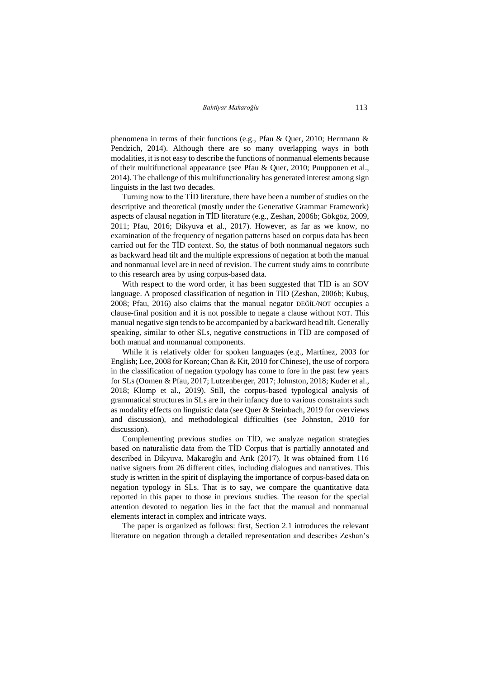phenomena in terms of their functions (e.g., Pfau & Quer, 2010; Herrmann & Pendzich, 2014). Although there are so many overlapping ways in both modalities, it is not easy to describe the functions of nonmanual elements because of their multifunctional appearance (see Pfau & Quer, 2010; Puupponen et al., 2014). The challenge of this multifunctionality has generated interest among sign linguists in the last two decades.

Turning now to the TİD literature, there have been a number of studies on the descriptive and theoretical (mostly under the Generative Grammar Framework) aspects of clausal negation in TİD literature (e.g., Zeshan, 2006b; Gökgöz, 2009, 2011; Pfau, 2016; Dikyuva et al., 2017). However, as far as we know, no examination of the frequency of negation patterns based on corpus data has been carried out for the TİD context. So, the status of both nonmanual negators such as backward head tilt and the multiple expressions of negation at both the manual and nonmanual level are in need of revision. The current study aims to contribute to this research area by using corpus-based data.

With respect to the word order, it has been suggested that TİD is an SOV language. A proposed classification of negation in TİD (Zeshan, 2006b; Kubuş, 2008; Pfau, 2016) also claims that the manual negator DEĞİL/NOT occupies a clause-final position and it is not possible to negate a clause without NOT. This manual negative sign tends to be accompanied by a backward head tilt. Generally speaking, similar to other SLs, negative constructions in TİD are composed of both manual and nonmanual components.

While it is relatively older for spoken languages (e.g., Martínez, 2003 for English; Lee, 2008 for Korean; Chan & Kit, 2010 for Chinese), the use of corpora in the classification of negation typology has come to fore in the past few years for SLs (Oomen & Pfau, 2017; Lutzenberger, 2017; Johnston, 2018; Kuder et al., 2018; Klomp et al., 2019). Still, the corpus-based typological analysis of grammatical structures in SLs are in their infancy due to various constraints such as modality effects on linguistic data (see Quer & Steinbach, 2019 for overviews and discussion), and methodological difficulties (see Johnston, 2010 for discussion).

Complementing previous studies on TİD, we analyze negation strategies based on naturalistic data from the TİD Corpus that is partially annotated and described in Dikyuva, Makaroğlu and Arık (2017). It was obtained from 116 native signers from 26 different cities, including dialogues and narratives. This study is written in the spirit of displaying the importance of corpus-based data on negation typology in SLs. That is to say, we compare the quantitative data reported in this paper to those in previous studies. The reason for the special attention devoted to negation lies in the fact that the manual and nonmanual elements interact in complex and intricate ways.

The paper is organized as follows: first, Section 2.1 introduces the relevant literature on negation through a detailed representation and describes Zeshan's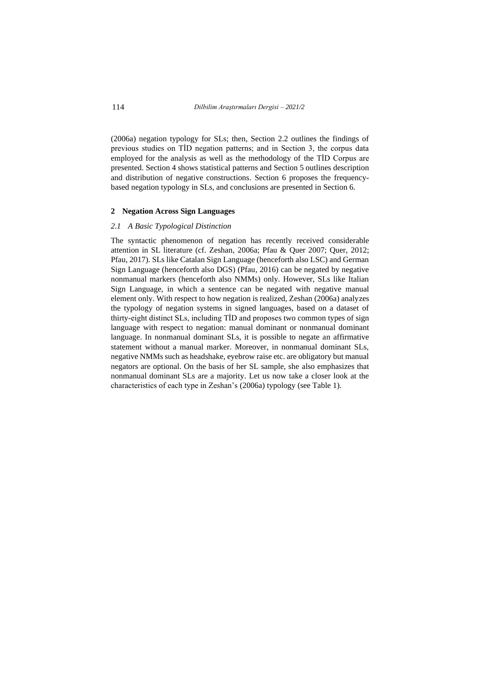(2006a) negation typology for SLs; then, Section 2.2 outlines the findings of previous studies on TİD negation patterns; and in Section 3, the corpus data employed for the analysis as well as the methodology of the TİD Corpus are presented. Section 4 shows statistical patterns and Section 5 outlines description and distribution of negative constructions. Section 6 proposes the frequencybased negation typology in SLs, and conclusions are presented in Section 6.

#### **2 Negation Across Sign Languages**

#### *2.1 A Basic Typological Distinction*

The syntactic phenomenon of negation has recently received considerable attention in SL literature (cf. Zeshan, 2006a; Pfau & Quer 2007; Quer, 2012; Pfau, 2017). SLs like Catalan Sign Language (henceforth also LSC) and German Sign Language (henceforth also DGS) (Pfau, 2016) can be negated by negative nonmanual markers (henceforth also NMMs) only. However, SLs like Italian Sign Language, in which a sentence can be negated with negative manual element only. With respect to how negation is realized, Zeshan (2006a) analyzes the typology of negation systems in signed languages, based on a dataset of thirty-eight distinct SLs, including TİD and proposes two common types of sign language with respect to negation: manual dominant or nonmanual dominant language. In nonmanual dominant SLs, it is possible to negate an affirmative statement without a manual marker. Moreover, in nonmanual dominant SLs, negative NMMs such as headshake, eyebrow raise etc. are obligatory but manual negators are optional. On the basis of her SL sample, she also emphasizes that nonmanual dominant SLs are a majority. Let us now take a closer look at the characteristics of each type in Zeshan's (2006a) typology (see Table 1).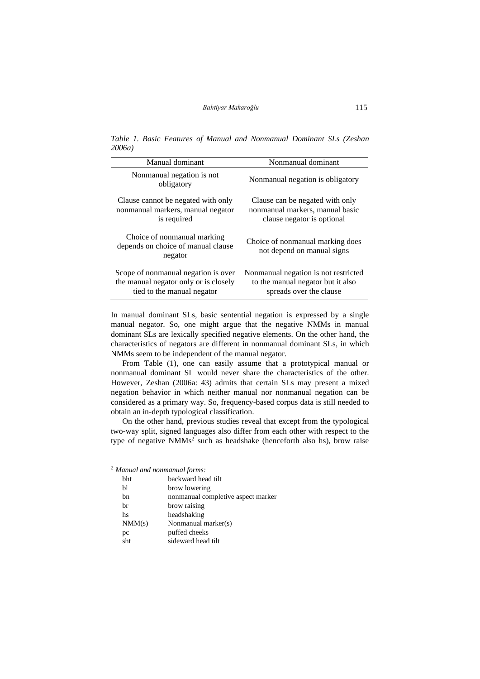*Table 1. Basic Features of Manual and Nonmanual Dominant SLs (Zeshan 2006a)* 

| Manual dominant                                                                                            | Nonmanual dominant                                                                                   |
|------------------------------------------------------------------------------------------------------------|------------------------------------------------------------------------------------------------------|
| Nonmanual negation is not<br>obligatory                                                                    | Nonmanual negation is obligatory                                                                     |
| Clause cannot be negated with only<br>nonmanual markers, manual negator<br>is required                     | Clause can be negated with only<br>nonmanual markers, manual basic<br>clause negator is optional     |
| Choice of nonmanual marking<br>depends on choice of manual clause<br>negator                               | Choice of nonmanual marking does<br>not depend on manual signs                                       |
| Scope of nonmanual negation is over<br>the manual negator only or is closely<br>tied to the manual negator | Nonmanual negation is not restricted<br>to the manual negator but it also<br>spreads over the clause |

In manual dominant SLs, basic sentential negation is expressed by a single manual negator. So, one might argue that the negative NMMs in manual dominant SLs are lexically specified negative elements. On the other hand, the characteristics of negators are different in nonmanual dominant SLs, in which NMMs seem to be independent of the manual negator.

From Table (1), one can easily assume that a prototypical manual or nonmanual dominant SL would never share the characteristics of the other. However, Zeshan (2006a: 43) admits that certain SLs may present a mixed negation behavior in which neither manual nor nonmanual negation can be considered as a primary way. So, frequency-based corpus data is still needed to obtain an in-depth typological classification.

On the other hand, previous studies reveal that except from the typological two-way split, signed languages also differ from each other with respect to the type of negative  $NMMs<sup>2</sup>$  such as headshake (henceforth also hs), brow raise

| $2$ Manual and nonmanual forms: |                                    |
|---------------------------------|------------------------------------|
| <b>bht</b>                      | backward head tilt                 |
| Ы                               | brow lowering                      |
| bn                              | nonmanual completive aspect marker |
| br                              | brow raising                       |
| hs                              | headshaking                        |
| NM(s)                           | Nonmanual marker(s)                |
| pc                              | puffed cheeks                      |
| sht                             | sideward head tilt                 |
|                                 |                                    |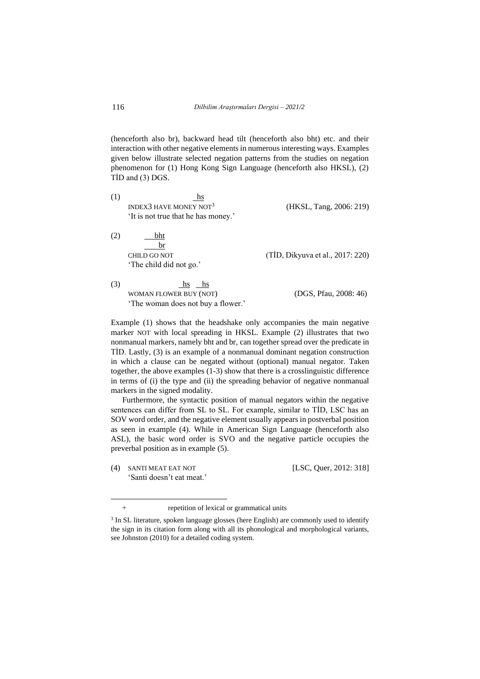(henceforth also br), backward head tilt (henceforth also bht) etc. and their interaction with other negative elements in numerous interesting ways. Examples given below illustrate selected negation patterns from the studies on negation phenomenon for (1) Hong Kong Sign Language (henceforth also HKSL), (2) TİD and (3) DGS.

| (1) | <b>INDEX3 HAVE MONEY NOT<sup>3</sup></b><br>'It is not true that he has money.' | (HKSL, Tang, 2006: 219)          |
|-----|---------------------------------------------------------------------------------|----------------------------------|
| (2) | bht<br>hr<br>CHILD GO NOT<br>'The child did not go.'                            | (TİD, Dikyuva et al., 2017: 220) |

(3)  $h$ s hs hs WOMAN FLOWER BUY (NOT) (DGS, Pfau, 2008: 46) 'The woman does not buy a flower.'

Example (1) shows that the headshake only accompanies the main negative marker NOT with local spreading in HKSL. Example (2) illustrates that two nonmanual markers, namely bht and br, can together spread over the predicate in TİD. Lastly, (3) is an example of a nonmanual dominant negation construction in which a clause can be negated without (optional) manual negator. Taken together, the above examples (1-3) show that there is a crosslinguistic difference in terms of (i) the type and (ii) the spreading behavior of negative nonmanual markers in the signed modality.

Furthermore, the syntactic position of manual negators within the negative sentences can differ from SL to SL. For example, similar to TİD, LSC has an SOV word order, and the negative element usually appears in postverbal position as seen in example (4). While in American Sign Language (henceforth also ASL), the basic word order is SVO and the negative particle occupies the preverbal position as in example (5).

(4) SANTI MEAT EAT NOT [LSC, Quer, 2012: 318] 'Santi doesn't eat meat.'

<sup>+</sup> repetition of lexical or grammatical units

<sup>&</sup>lt;sup>3</sup> In SL literature, spoken language glosses (here English) are commonly used to identify the sign in its citation form along with all its phonological and morphological variants, see Johnston (2010) for a detailed coding system.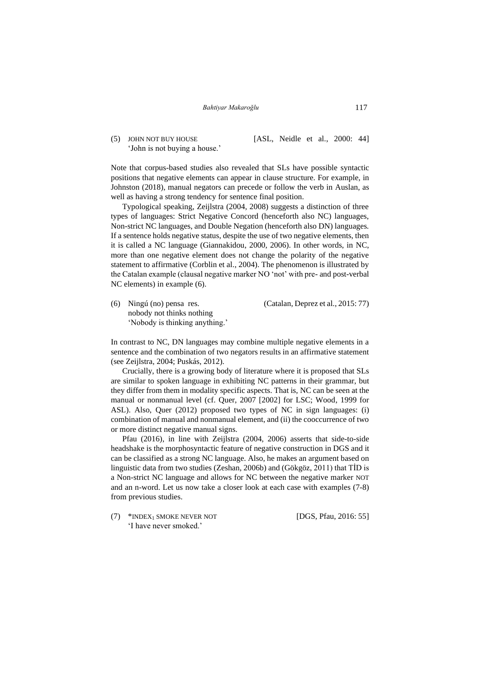## (5) JOHN NOT BUY HOUSE [ASL, Neidle et al., 2000: 44] 'John is not buying a house.'

Note that corpus-based studies also revealed that SLs have possible syntactic positions that negative elements can appear in clause structure. For example, in Johnston (2018), manual negators can precede or follow the verb in Auslan, as well as having a strong tendency for sentence final position.

Typological speaking, Zeijlstra (2004, 2008) suggests a distinction of three types of languages: Strict Negative Concord (henceforth also NC) languages, Non-strict NC languages, and Double Negation (henceforth also DN) languages. If a sentence holds negative status, despite the use of two negative elements, then it is called a NC language (Giannakidou, 2000, 2006). In other words, in NC, more than one negative element does not change the polarity of the negative statement to affirmative (Corblin et al., 2004). The phenomenon is illustrated by the Catalan example (clausal negative marker NO 'not' with pre- and post-verbal NC elements) in example (6).

(6) Ningú (no) pensa res. (Catalan, Deprez et al., 2015: 77) nobody not thinks nothing 'Nobody is thinking anything.'

In contrast to NC, DN languages may combine multiple negative elements in a sentence and the combination of two negators results in an affirmative statement (see Zeijlstra, 2004; Puskás, 2012).

Crucially, there is a growing body of literature where it is proposed that SLs are similar to spoken language in exhibiting NC patterns in their grammar, but they differ from them in modality specific aspects. That is, NC can be seen at the manual or nonmanual level (cf. Quer, 2007 [2002] for LSC; Wood, 1999 for ASL). Also, Quer (2012) proposed two types of NC in sign languages: (i) combination of manual and nonmanual element, and (ii) the cooccurrence of two or more distinct negative manual signs.

Pfau (2016), in line with Zeijlstra (2004, 2006) asserts that side-to-side headshake is the morphosyntactic feature of negative construction in DGS and it can be classified as a strong NC language. Also, he makes an argument based on linguistic data from two studies (Zeshan, 2006b) and (Gökgöz, 2011) that TİD is a Non-strict NC language and allows for NC between the negative marker NOT and an n-word. Let us now take a closer look at each case with examples (7-8) from previous studies.

(7) \*INDEX<sub>1</sub> SMOKE NEVER NOT [DGS, Pfau, 2016: 55] 'I have never smoked.'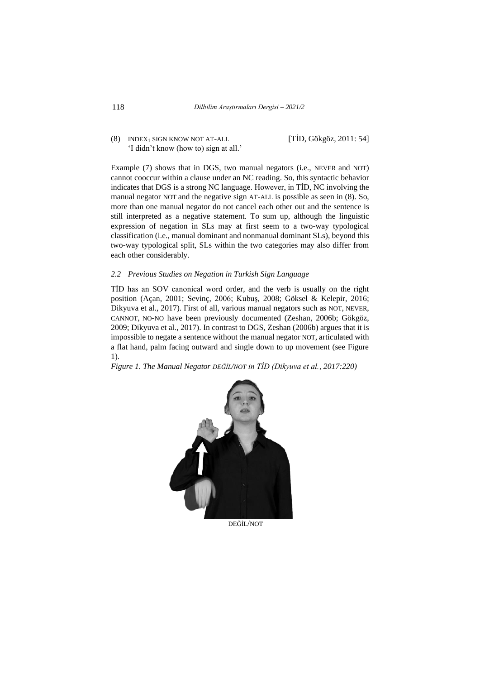(8) INDEX<sup>1</sup> SIGN KNOW NOT AT-ALL [TİD, Gökgöz, 2011: 54] 'I didn't know (how to) sign at all.'

Example (7) shows that in DGS, two manual negators (i.e., NEVER and NOT) cannot cooccur within a clause under an NC reading. So, this syntactic behavior indicates that DGS is a strong NC language. However, in TİD, NC involving the manual negator NOT and the negative sign AT-ALL is possible as seen in (8). So, more than one manual negator do not cancel each other out and the sentence is still interpreted as a negative statement. To sum up, although the linguistic expression of negation in SLs may at first seem to a two-way typological classification (i.e., manual dominant and nonmanual dominant SLs), beyond this two-way typological split, SLs within the two categories may also differ from each other considerably.

#### *2.2 Previous Studies on Negation in Turkish Sign Language*

TİD has an SOV canonical word order, and the verb is usually on the right position (Açan, 2001; Sevinç, 2006; Kubuş, 2008; Göksel & Kelepir, 2016; Dikyuva et al., 2017). First of all, various manual negators such as NOT, NEVER, CANNOT, NO-NO have been previously documented (Zeshan, 2006b; Gökgöz, 2009; Dikyuva et al., 2017). In contrast to DGS, Zeshan (2006b) argues that it is impossible to negate a sentence without the manual negator NOT, articulated with a flat hand, palm facing outward and single down to up movement (see Figure 1).

*Figure 1. The Manual Negator DEĞİL/NOT in TİD (Dikyuva et al., 2017:220)*



DEĞİL/NOT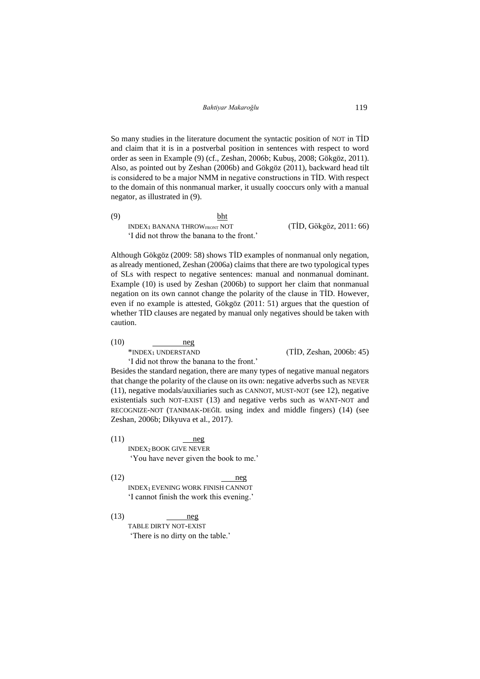So many studies in the literature document the syntactic position of NOT in TİD and claim that it is in a postverbal position in sentences with respect to word order as seen in Example (9) (cf., Zeshan, 2006b; Kubuş, 2008; Gökgöz, 2011). Also, as pointed out by Zeshan (2006b) and Gökgöz (2011), backward head tilt is considered to be a major NMM in negative constructions in TİD. With respect to the domain of this nonmanual marker, it usually cooccurs only with a manual negator, as illustrated in (9).

(9) bht INDEX<sub>1</sub> BANANA THROW<sub>FRONT</sub> NOT  $(TID, G\ddot{o}kg\ddot{o}z, 2011: 66)$ 'I did not throw the banana to the front.'

Although Gökgöz (2009: 58) shows TİD examples of nonmanual only negation, as already mentioned, Zeshan (2006a) claims that there are two typological types of SLs with respect to negative sentences: manual and nonmanual dominant. Example (10) is used by Zeshan (2006b) to support her claim that nonmanual negation on its own cannot change the polarity of the clause in TİD. However, even if no example is attested, Gökgöz (2011: 51) argues that the question of whether TİD clauses are negated by manual only negatives should be taken with caution.

 $(10)$  neg

 $*$ INDEX<sub>1</sub> UNDERSTAND (TİD, Zeshan, 2006b: 45)

'I did not throw the banana to the front.'

Besides the standard negation, there are many types of negative manual negators that change the polarity of the clause on its own: negative adverbs such as NEVER (11), negative modals/auxiliaries such as CANNOT, MUST-NOT (see 12), negative existentials such NOT-EXIST (13) and negative verbs such as WANT-NOT and RECOGNIZE-NOT (TANIMAK-DEĞİL using index and middle fingers) (14) (see Zeshan, 2006b; Dikyuva et al., 2017).

 $(11)$  neg INDEX2BOOK GIVE NEVER 'You have never given the book to me.'

 $(12)$  neg

INDEX1 EVENING WORK FINISH CANNOT 'I cannot finish the work this evening.'

 $(13)$  neg TABLE DIRTY NOT-EXIST 'There is no dirty on the table.'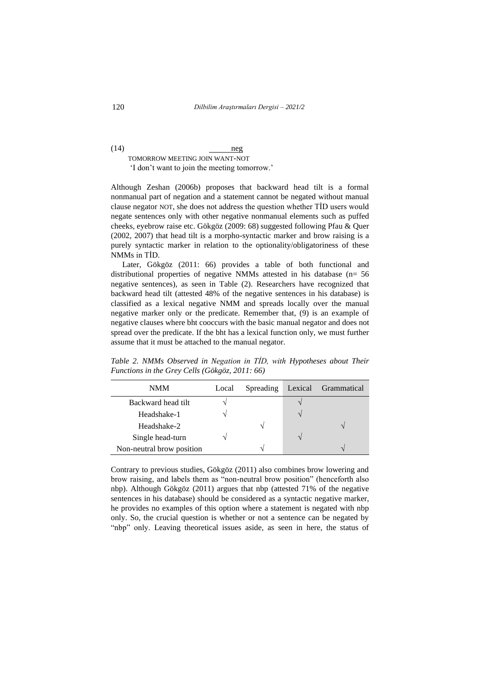## $(14)$  neg TOMORROW MEETING JOIN WANT-NOT 'I don't want to join the meeting tomorrow.'

Although Zeshan (2006b) proposes that backward head tilt is a formal nonmanual part of negation and a statement cannot be negated without manual clause negator NOT, she does not address the question whether TİD users would negate sentences only with other negative nonmanual elements such as puffed cheeks, eyebrow raise etc. Gökgöz (2009: 68) suggested following Pfau & Quer (2002, 2007) that head tilt is a morpho-syntactic marker and brow raising is a purely syntactic marker in relation to the optionality/obligatoriness of these NMMs in TİD.

Later, Gökgöz (2011: 66) provides a table of both functional and distributional properties of negative NMMs attested in his database (n= 56 negative sentences), as seen in Table (2). Researchers have recognized that backward head tilt (attested 48% of the negative sentences in his database) is classified as a lexical negative NMM and spreads locally over the manual negative marker only or the predicate. Remember that, (9) is an example of negative clauses where bht cooccurs with the basic manual negator and does not spread over the predicate. If the bht has a lexical function only, we must further assume that it must be attached to the manual negator.

| <b>NMM</b>                | Local | Spreading     | Lexical Grammatical |
|---------------------------|-------|---------------|---------------------|
| Backward head tilt        |       |               |                     |
| Headshake-1               |       |               |                     |
| Headshake-2               |       |               |                     |
| Single head-turn          |       |               |                     |
| Non-neutral brow position |       | $\mathcal{L}$ |                     |

*Table 2. NMMs Observed in Negation in TİD, with Hypotheses about Their Functions in the Grey Cells (Gökgöz, 2011: 66)*

Contrary to previous studies, Gökgöz (2011) also combines brow lowering and brow raising, and labels them as "non-neutral brow position" (henceforth also nbp). Although Gökgöz (2011) argues that nbp (attested 71% of the negative sentences in his database) should be considered as a syntactic negative marker, he provides no examples of this option where a statement is negated with nbp only. So, the crucial question is whether or not a sentence can be negated by "nbp" only. Leaving theoretical issues aside, as seen in here, the status of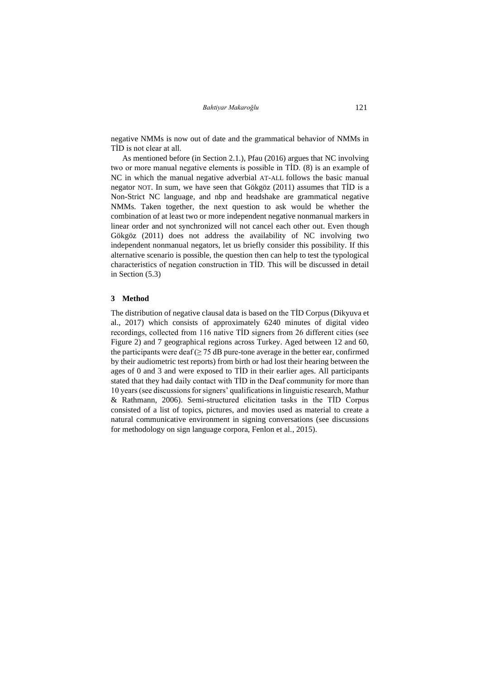*Bahtiyar Makaroğlu* 121

negative NMMs is now out of date and the grammatical behavior of NMMs in TİD is not clear at all.

As mentioned before (in Section 2.1.), Pfau (2016) argues that NC involving two or more manual negative elements is possible in TİD. (8) is an example of NC in which the manual negative adverbial AT-ALL follows the basic manual negator NOT. In sum, we have seen that Gökgöz (2011) assumes that TİD is a Non-Strict NC language, and nbp and headshake are grammatical negative NMMs. Taken together, the next question to ask would be whether the combination of at least two or more independent negative nonmanual markers in linear order and not synchronized will not cancel each other out. Even though Gökgöz (2011) does not address the availability of NC involving two independent nonmanual negators, let us briefly consider this possibility. If this alternative scenario is possible, the question then can help to test the typological characteristics of negation construction in TİD. This will be discussed in detail in Section (5.3)

#### **3 Method**

The distribution of negative clausal data is based on the TİD Corpus (Dikyuva et al., 2017) which consists of approximately 6240 minutes of digital video recordings, collected from 116 native TİD signers from 26 different cities (see Figure 2) and 7 geographical regions across Turkey. Aged between 12 and 60, the participants were deaf ( $\geq$  75 dB pure-tone average in the better ear, confirmed by their audiometric test reports) from birth or had lost their hearing between the ages of 0 and 3 and were exposed to TİD in their earlier ages. All participants stated that they had daily contact with TİD in the Deaf community for more than 10 years (see discussions for signers' qualifications in linguistic research, Mathur & Rathmann, 2006). Semi-structured elicitation tasks in the TİD Corpus consisted of a list of topics, pictures, and movies used as material to create a natural communicative environment in signing conversations (see discussions for methodology on sign language corpora, Fenlon et al., 2015).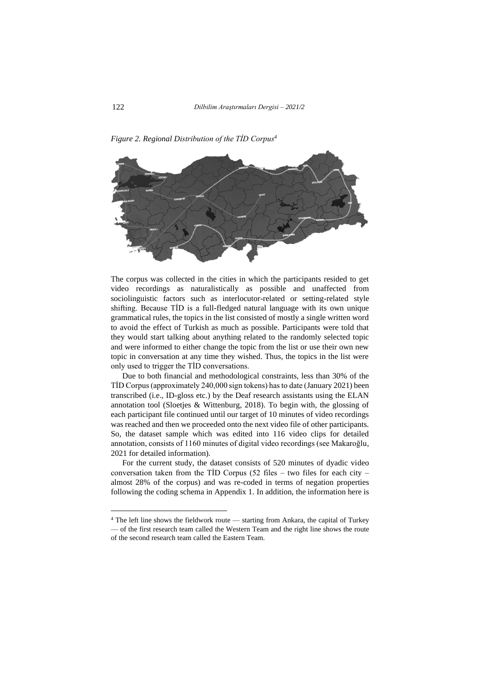

*Figure 2. Regional Distribution of the TİD Corpus<sup>4</sup>*

The corpus was collected in the cities in which the participants resided to get video recordings as naturalistically as possible and unaffected from sociolinguistic factors such as interlocutor-related or setting-related style shifting. Because TİD is a full-fledged natural language with its own unique grammatical rules, the topics in the list consisted of mostly a single written word to avoid the effect of Turkish as much as possible. Participants were told that they would start talking about anything related to the randomly selected topic and were informed to either change the topic from the list or use their own new topic in conversation at any time they wished. Thus, the topics in the list were only used to trigger the TİD conversations.

Due to both financial and methodological constraints, less than 30% of the TİD Corpus (approximately 240,000 sign tokens) has to date (January 2021) been transcribed (i.e., ID-gloss etc.) by the Deaf research assistants using the ELAN annotation tool (Sloetjes & Wittenburg, 2018). To begin with, the glossing of each participant file continued until our target of 10 minutes of video recordings was reached and then we proceeded onto the next video file of other participants. So, the dataset sample which was edited into 116 video clips for detailed annotation, consists of 1160 minutes of digital video recordings (see Makaroğlu, 2021 for detailed information).

For the current study, the dataset consists of 520 minutes of dyadic video conversation taken from the TID Corpus (52 files – two files for each city – almost 28% of the corpus) and was re-coded in terms of negation properties following the coding schema in Appendix 1. In addition, the information here is

<sup>4</sup> The left line shows the fieldwork route — starting from Ankara, the capital of Turkey — of the first research team called the Western Team and the right line shows the route of the second research team called the Eastern Team.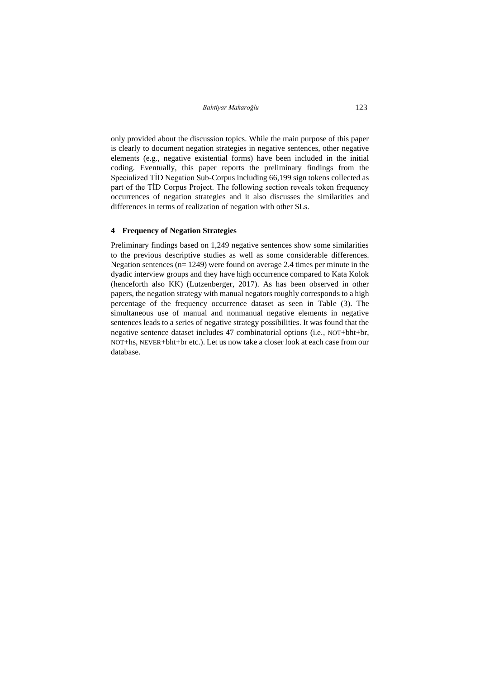only provided about the discussion topics. While the main purpose of this paper is clearly to document negation strategies in negative sentences, other negative elements (e.g., negative existential forms) have been included in the initial coding. Eventually, this paper reports the preliminary findings from the Specialized TİD Negation Sub-Corpus including 66,199 sign tokens collected as part of the TİD Corpus Project. The following section reveals token frequency occurrences of negation strategies and it also discusses the similarities and differences in terms of realization of negation with other SLs.

#### **4 Frequency of Negation Strategies**

Preliminary findings based on 1,249 negative sentences show some similarities to the previous descriptive studies as well as some considerable differences. Negation sentences (n= 1249) were found on average 2.4 times per minute in the dyadic interview groups and they have high occurrence compared to Kata Kolok (henceforth also KK) (Lutzenberger, 2017). As has been observed in other papers, the negation strategy with manual negators roughly corresponds to a high percentage of the frequency occurrence dataset as seen in Table (3). The simultaneous use of manual and nonmanual negative elements in negative sentences leads to a series of negative strategy possibilities. It was found that the negative sentence dataset includes 47 combinatorial options (i.e., NOT+bht+br, NOT+hs, NEVER+bht+br etc.). Let us now take a closer look at each case from our database.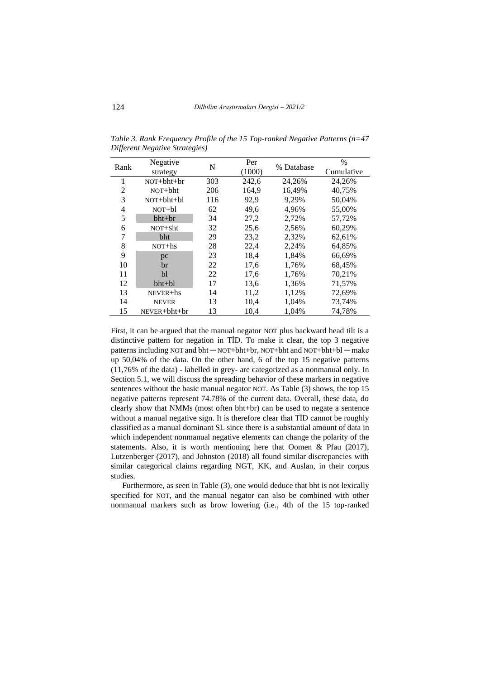| Rank | Negative         | N   | Per    | % Database | $\%$       |
|------|------------------|-----|--------|------------|------------|
|      | strategy         |     | (1000) |            | Cumulative |
| 1    | $NOT + bht + br$ | 303 | 242,6  | 24.26%     | 24.26%     |
| 2    | $NOT + bht$      | 206 | 164,9  | 16,49%     | 40,75%     |
| 3    | $NOT + bht + b1$ | 116 | 92,9   | 9,29%      | 50.04%     |
| 4    | $NOT + b1$       | 62  | 49.6   | 4.96%      | 55,00%     |
| 5    | $bht+br$         | 34  | 27,2   | 2,72%      | 57,72%     |
| 6    | NOT+Sht          | 32  | 25,6   | 2,56%      | 60,29%     |
| 7    | bht              | 29  | 23,2   | 2,32%      | 62,61%     |
| 8    | $NOT + hS$       | 28  | 22,4   | 2,24%      | 64,85%     |
| 9    | pc               | 23  | 18,4   | 1,84%      | 66,69%     |
| 10   | br               | 22  | 17,6   | 1,76%      | 68,45%     |
| 11   | bl               | 22  | 17,6   | 1,76%      | 70,21%     |
| 12   | bht+bl           | 17  | 13,6   | 1,36%      | 71,57%     |
| 13   | $NEVER + hs$     | 14  | 11,2   | 1,12%      | 72,69%     |
| 14   | <b>NEVER</b>     | 13  | 10,4   | 1,04%      | 73,74%     |
| 15   | NEVER+bht+br     | 13  | 10,4   | 1.04%      | 74.78%     |

*Table 3. Rank Frequency Profile of the 15 Top-ranked Negative Patterns (n=47 Different Negative Strategies)*

First, it can be argued that the manual negator NOT plus backward head tilt is a distinctive pattern for negation in TİD. To make it clear, the top 3 negative patterns including NOT and  $\text{bht} - \text{NOT} + \text{bht} + \text{br}$ , NOT+bht and NOT+bht+bl — make up 50,04% of the data. On the other hand, 6 of the top 15 negative patterns (11,76% of the data) - labelled in grey- are categorized as a nonmanual only. In Section 5.1, we will discuss the spreading behavior of these markers in negative sentences without the basic manual negator NOT. As Table (3) shows, the top 15 negative patterns represent 74.78% of the current data. Overall, these data, do clearly show that NMMs (most often bht+br) can be used to negate a sentence without a manual negative sign. It is therefore clear that TİD cannot be roughly classified as a manual dominant SL since there is a substantial amount of data in which independent nonmanual negative elements can change the polarity of the statements. Also, it is worth mentioning here that Oomen & Pfau (2017), Lutzenberger (2017), and Johnston (2018) all found similar discrepancies with similar categorical claims regarding NGT, KK, and Auslan, in their corpus studies.

Furthermore, as seen in Table (3), one would deduce that bht is not lexically specified for NOT, and the manual negator can also be combined with other nonmanual markers such as brow lowering (i.e., 4th of the 15 top-ranked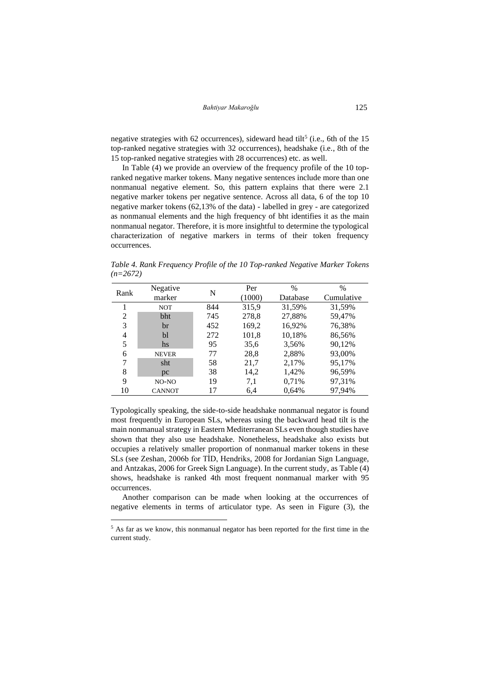negative strategies with 62 occurrences), sideward head tilt<sup>5</sup> (i.e., 6th of the 15 top-ranked negative strategies with 32 occurrences), headshake (i.e., 8th of the 15 top-ranked negative strategies with 28 occurrences) etc. as well.

In Table (4) we provide an overview of the frequency profile of the 10 topranked negative marker tokens. Many negative sentences include more than one nonmanual negative element. So, this pattern explains that there were 2.1 negative marker tokens per negative sentence. Across all data, 6 of the top 10 negative marker tokens (62,13% of the data) - labelled in grey - are categorized as nonmanual elements and the high frequency of bht identifies it as the main nonmanual negator. Therefore, it is more insightful to determine the typological characterization of negative markers in terms of their token frequency occurrences.

*Table 4. Rank Frequency Profile of the 10 Top-ranked Negative Marker Tokens (n=2672)*

| Rank | Negative      | N   | Per    | $\%$     | $\%$       |
|------|---------------|-----|--------|----------|------------|
|      | marker        |     | (1000) | Database | Cumulative |
|      | <b>NOT</b>    | 844 | 315,9  | 31,59%   | 31,59%     |
| 2    | bht           | 745 | 278,8  | 27,88%   | 59,47%     |
| 3    | br            | 452 | 169,2  | 16,92%   | 76,38%     |
| 4    | bl            | 272 | 101,8  | 10,18%   | 86,56%     |
| 5    | hs            | 95  | 35,6   | 3.56%    | 90,12%     |
| 6    | <b>NEVER</b>  | 77  | 28,8   | 2,88%    | 93,00%     |
| 7    | sht           | 58  | 21,7   | 2,17%    | 95,17%     |
| 8    | pc            | 38  | 14,2   | 1,42%    | 96,59%     |
| 9    | $NO-NO$       | 19  | 7,1    | 0,71%    | 97,31%     |
| 10   | <b>CANNOT</b> | 17  | 6,4    | 0,64%    | 97,94%     |

Typologically speaking, the side-to-side headshake nonmanual negator is found most frequently in European SLs, whereas using the backward head tilt is the main nonmanual strategy in Eastern Mediterranean SLs even though studies have shown that they also use headshake. Nonetheless, headshake also exists but occupies a relatively smaller proportion of nonmanual marker tokens in these SLs (see Zeshan, 2006b for TİD, Hendriks, 2008 for Jordanian Sign Language, and Antzakas, 2006 for Greek Sign Language). In the current study, as Table (4) shows, headshake is ranked 4th most frequent nonmanual marker with 95 occurrences.

Another comparison can be made when looking at the occurrences of negative elements in terms of articulator type. As seen in Figure (3), the

<sup>5</sup> As far as we know, this nonmanual negator has been reported for the first time in the current study.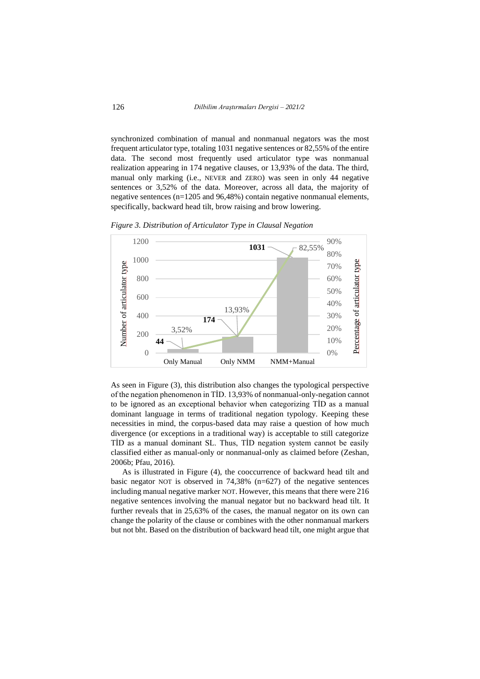synchronized combination of manual and nonmanual negators was the most frequent articulator type, totaling 1031 negative sentences or 82,55% of the entire data. The second most frequently used articulator type was nonmanual realization appearing in 174 negative clauses, or 13,93% of the data. The third, manual only marking (i.e., NEVER and ZERO) was seen in only 44 negative sentences or 3,52% of the data. Moreover, across all data, the majority of negative sentences (n=1205 and 96,48%) contain negative nonmanual elements, specifically, backward head tilt, brow raising and brow lowering.

*Figure 3. Distribution of Articulator Type in Clausal Negation*



As seen in Figure (3), this distribution also changes the typological perspective of the negation phenomenon in TİD. 13,93% of nonmanual-only-negation cannot to be ignored as an exceptional behavior when categorizing TİD as a manual dominant language in terms of traditional negation typology. Keeping these necessities in mind, the corpus-based data may raise a question of how much divergence (or exceptions in a traditional way) is acceptable to still categorize TİD as a manual dominant SL. Thus, TİD negation system cannot be easily classified either as manual-only or nonmanual-only as claimed before (Zeshan, 2006b; Pfau, 2016).

As is illustrated in Figure (4), the cooccurrence of backward head tilt and basic negator NOT is observed in 74,38% (n=627) of the negative sentences including manual negative marker NOT. However, this means that there were 216 negative sentences involving the manual negator but no backward head tilt. It further reveals that in 25,63% of the cases, the manual negator on its own can change the polarity of the clause or combines with the other nonmanual markers but not bht. Based on the distribution of backward head tilt, one might argue that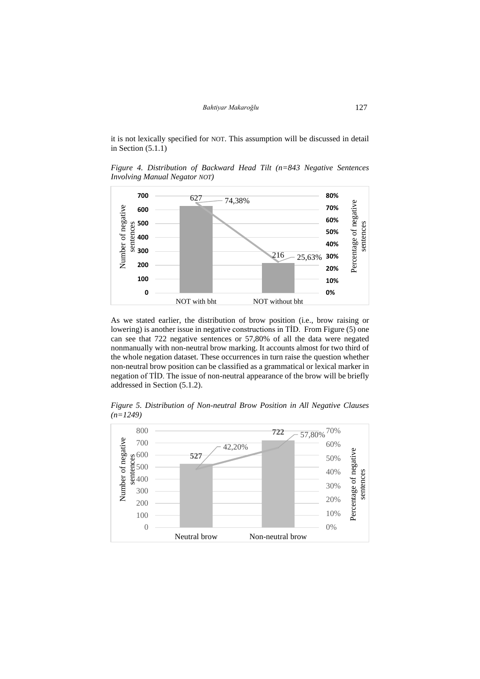it is not lexically specified for NOT. This assumption will be discussed in detail in Section (5.1.1)

*Figure 4. Distribution of Backward Head Tilt (n=843 Negative Sentences Involving Manual Negator NOT)*



As we stated earlier, the distribution of brow position (i.e., brow raising or lowering) is another issue in negative constructions in TİD. From Figure (5) one can see that 722 negative sentences or 57,80% of all the data were negated nonmanually with non-neutral brow marking. It accounts almost for two third of the whole negation dataset. These occurrences in turn raise the question whether non-neutral brow position can be classified as a grammatical or lexical marker in negation of TİD. The issue of non-neutral appearance of the brow will be briefly addressed in Section (5.1.2).

*Figure 5. Distribution of Non-neutral Brow Position in All Negative Clauses (n=1249)*

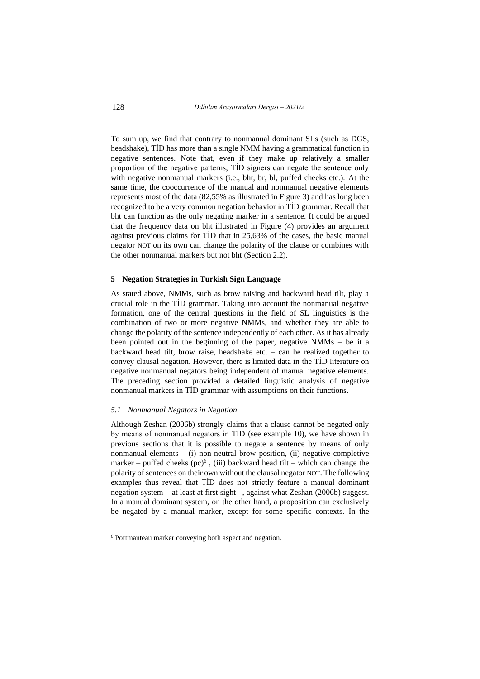To sum up, we find that contrary to nonmanual dominant SLs (such as DGS, headshake), TİD has more than a single NMM having a grammatical function in negative sentences. Note that, even if they make up relatively a smaller proportion of the negative patterns, TİD signers can negate the sentence only with negative nonmanual markers (i.e., bht, br, bl, puffed cheeks etc.). At the same time, the cooccurrence of the manual and nonmanual negative elements represents most of the data (82,55% as illustrated in Figure 3) and has long been recognized to be a very common negation behavior in TİD grammar. Recall that bht can function as the only negating marker in a sentence. It could be argued that the frequency data on bht illustrated in Figure (4) provides an argument against previous claims for TİD that in 25,63% of the cases, the basic manual negator NOT on its own can change the polarity of the clause or combines with the other nonmanual markers but not bht (Section 2.2).

#### **5 Negation Strategies in Turkish Sign Language**

As stated above, NMMs, such as brow raising and backward head tilt, play a crucial role in the TİD grammar. Taking into account the nonmanual negative formation, one of the central questions in the field of SL linguistics is the combination of two or more negative NMMs, and whether they are able to change the polarity of the sentence independently of each other. As it has already been pointed out in the beginning of the paper, negative NMMs – be it a backward head tilt, brow raise, headshake etc. – can be realized together to convey clausal negation. However, there is limited data in the TİD literature on negative nonmanual negators being independent of manual negative elements. The preceding section provided a detailed linguistic analysis of negative nonmanual markers in TİD grammar with assumptions on their functions.

### *5.1 Nonmanual Negators in Negation*

Although Zeshan (2006b) strongly claims that a clause cannot be negated only by means of nonmanual negators in TİD (see example 10), we have shown in previous sections that it is possible to negate a sentence by means of only nonmanual elements  $-$  (i) non-neutral brow position, (ii) negative completive marker – puffed cheeks  $(pc)^6$ , (iii) backward head tilt – which can change the polarity of sentences on their own without the clausal negator NOT. The following examples thus reveal that TİD does not strictly feature a manual dominant negation system – at least at first sight –, against what Zeshan (2006b) suggest. In a manual dominant system, on the other hand, a proposition can exclusively be negated by a manual marker, except for some specific contexts. In the

<sup>6</sup> Portmanteau marker conveying both aspect and negation.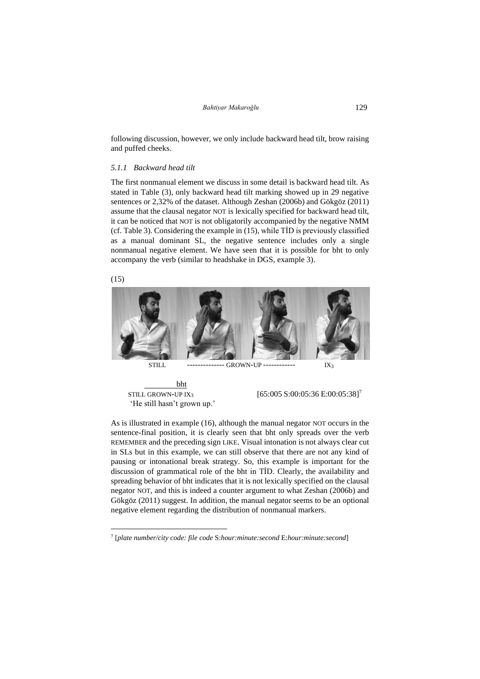following discussion, however, we only include backward head tilt, brow raising and puffed cheeks.

#### *5.1.1 Backward head tilt*

The first nonmanual element we discuss in some detail is backward head tilt. As stated in Table (3), only backward head tilt marking showed up in 29 negative sentences or 2,32% of the dataset. Although Zeshan (2006b) and Gökgöz (2011) assume that the clausal negator NOT is lexically specified for backward head tilt, it can be noticed that NOT is not obligatorily accompanied by the negative NMM (cf. Table 3). Considering the example in (15), while TİD is previously classified as a manual dominant SL, the negative sentence includes only a single nonmanual negative element. We have seen that it is possible for bht to only accompany the verb (similar to headshake in DGS, example 3).



 bht STILL GROWN-UP IX<sub>3</sub> [65:005 S:00:05:36 [E:00:05:38\]](https://drive.google.com/file/d/17OsMnRScMdfsWP7t28NnVqFTlNoOnnI9/view?usp=sharing)<sup>7</sup> 'He still hasn't grown up.'

As is illustrated in example (16), although the manual negator NOT occurs in the sentence-final position, it is clearly seen that bht only spreads over the verb REMEMBER and the preceding sign LIKE. Visual intonation is not always clear cut in SLs but in this example, we can still observe that there are not any kind of pausing or intonational break strategy. So, this example is important for the discussion of grammatical role of the bht in TİD. Clearly, the availability and spreading behavior of bht indicates that it is not lexically specified on the clausal negator NOT, and this is indeed a counter argument to what Zeshan (2006b) and Gökgöz (2011) suggest. In addition, the manual negator seems to be an optional negative element regarding the distribution of nonmanual markers.

<sup>7</sup> [*plate number/city code: file code* S:*hour:minute:second* E:*hour:minute:second*]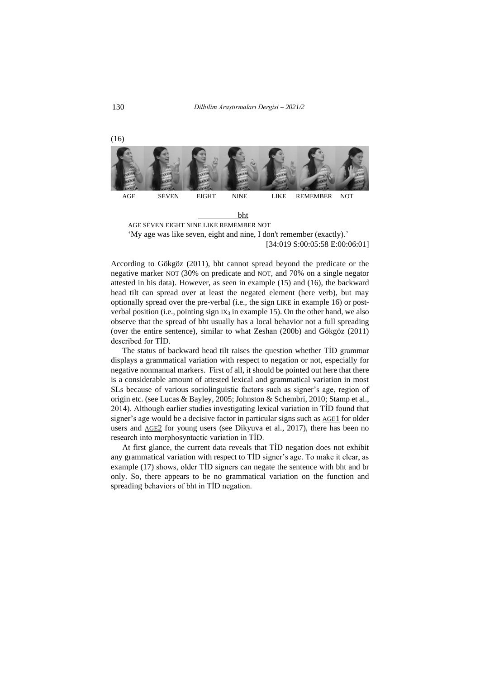130 *Dilbilim Araştırmaları Dergisi – 2021/2*



'My age was like seven, eight and nine, I don't remember (exactly).' [\[34:019 S:00:05:58 E:00:06:01\]](https://drive.google.com/file/d/18LcLIcVPpaPxS-8QsUa1msHtV7N-ToZv/view?usp=sharing)

According to Gökgöz (2011), bht cannot spread beyond the predicate or the negative marker NOT (30% on predicate and NOT, and 70% on a single negator attested in his data). However, as seen in example (15) and (16), the backward head tilt can spread over at least the negated element (here verb), but may optionally spread over the pre-verbal (i.e., the sign LIKE in example 16) or postverbal position (i.e., pointing sign  $IX_3$  in example 15). On the other hand, we also observe that the spread of bht usually has a local behavior not a full spreading (over the entire sentence), similar to what Zeshan (200b) and Gökgöz (2011) described for TİD.

The status of backward head tilt raises the question whether TİD grammar displays a grammatical variation with respect to negation or not, especially for negative nonmanual markers. First of all, it should be pointed out here that there is a considerable amount of attested lexical and grammatical variation in most SLs because of various sociolinguistic factors such as signer's age, region of origin etc. (see Lucas & Bayley, 2005; Johnston & Schembri, 2010; Stamp et al., 2014). Although earlier studies investigating lexical variation in TİD found that signer's age would be a decisive factor in particular signs such as [AGE](https://tidsozluk.ailevecalisma.gov.tr/vidz_proc/0127/degiske/127-02_cr_0.5.mp4)1 for older users and [AGE](https://tidsozluk.ailevecalisma.gov.tr/vidz_proc/0127/degiske/127-01_cr_0.5.mp4)2 for young users (see Dikyuva et al., 2017), there has been no research into morphosyntactic variation in TİD.

At first glance, the current data reveals that TİD negation does not exhibit any grammatical variation with respect to TİD signer's age. To make it clear, as example (17) shows, older TİD signers can negate the sentence with bht and br only. So, there appears to be no grammatical variation on the function and spreading behaviors of bht in TİD negation.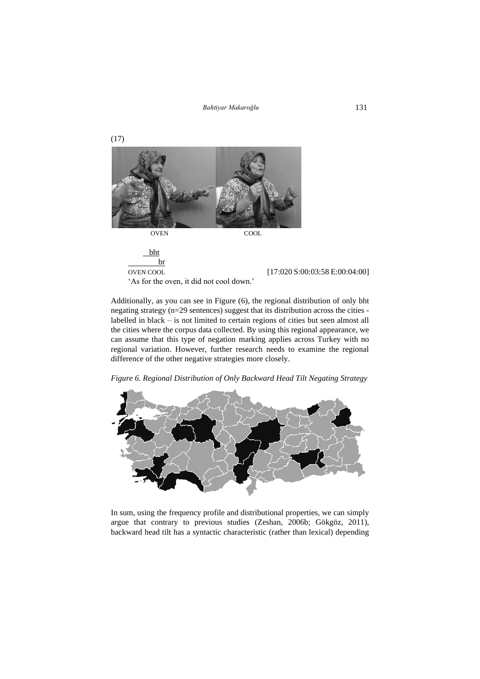*Bahtiyar Makaroğlu* 131



Additionally, as you can see in Figure (6), the regional distribution of only bht negating strategy (n=29 sentences) suggest that its distribution across the cities labelled in black – is not limited to certain regions of cities but seen almost all the cities where the corpus data collected. By using this regional appearance, we can assume that this type of negation marking applies across Turkey with no regional variation. However, further research needs to examine the regional difference of the other negative strategies more closely.

*Figure 6. Regional Distribution of Only Backward Head Tilt Negating Strategy*



In sum, using the frequency profile and distributional properties, we can simply argue that contrary to previous studies (Zeshan, 2006b; Gökgöz, 2011), backward head tilt has a syntactic characteristic (rather than lexical) depending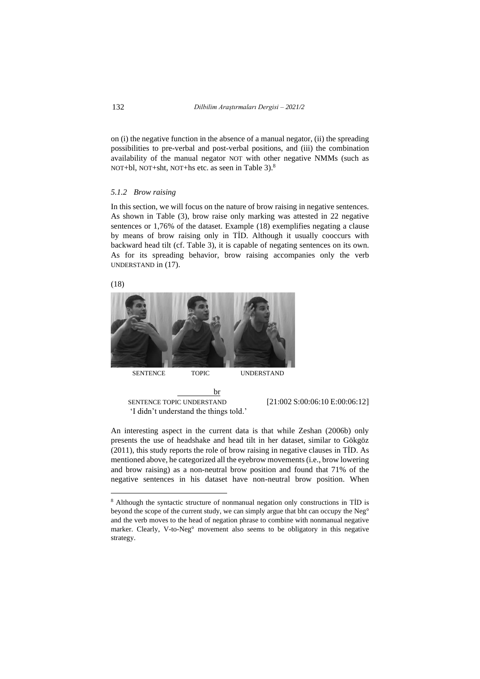on (i) the negative function in the absence of a manual negator, (ii) the spreading possibilities to pre-verbal and post-verbal positions, and (iii) the combination availability of the manual negator NOT with other negative NMMs (such as NOT+bl, NOT+sht, NOT+hs etc. as seen in Table 3).<sup>8</sup>

#### *5.1.2 Brow raising*

In this section, we will focus on the nature of brow raising in negative sentences. As shown in Table (3), brow raise only marking was attested in 22 negative sentences or 1,76% of the dataset. Example (18) exemplifies negating a clause by means of brow raising only in TİD. Although it usually cooccurs with backward head tilt (cf. Table 3), it is capable of negating sentences on its own. As for its spreading behavior, brow raising accompanies only the verb UNDERSTAND in (17).





<u>brachadh br</u>

'I didn't understand the things told.'

SENTENCE TOPIC UNDERSTAND [21:002 S:00:06:10 [E:00:06:12\]](https://drive.google.com/file/d/1HZloVFZKmCJGptoLiq1I14aCBf7GXt5D/view?usp=sharing)

An interesting aspect in the current data is that while Zeshan (2006b) only presents the use of headshake and head tilt in her dataset, similar to Gökgöz (2011), this study reports the role of brow raising in negative clauses in TİD. As mentioned above, he categorized all the eyebrow movements(i.e., brow lowering and brow raising) as a non-neutral brow position and found that 71% of the negative sentences in his dataset have non-neutral brow position. When

<sup>8</sup> Although the syntactic structure of nonmanual negation only constructions in TİD is beyond the scope of the current study, we can simply argue that bht can occupy the Neg° and the verb moves to the head of negation phrase to combine with nonmanual negative marker. Clearly, V-to-Neg° movement also seems to be obligatory in this negative strategy.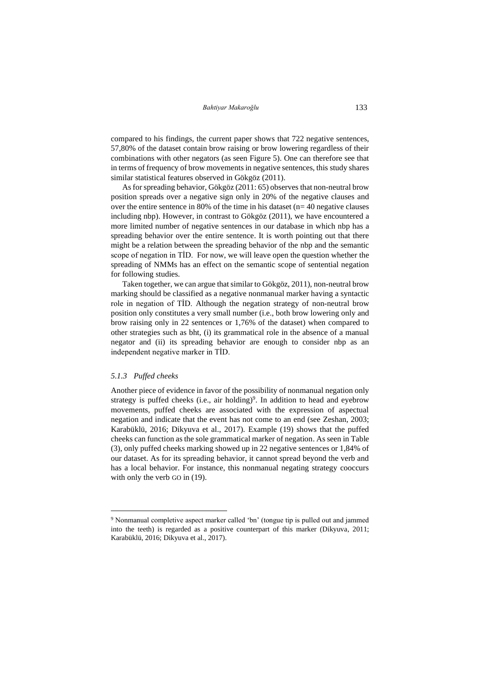compared to his findings, the current paper shows that 722 negative sentences, 57,80% of the dataset contain brow raising or brow lowering regardless of their combinations with other negators (as seen Figure 5). One can therefore see that in terms of frequency of brow movements in negative sentences, this study shares similar statistical features observed in Gökgöz (2011).

As for spreading behavior, Gökgöz (2011: 65) observes that non-neutral brow position spreads over a negative sign only in 20% of the negative clauses and over the entire sentence in 80% of the time in his dataset (n= 40 negative clauses including nbp). However, in contrast to Gökgöz (2011), we have encountered a more limited number of negative sentences in our database in which nbp has a spreading behavior over the entire sentence. It is worth pointing out that there might be a relation between the spreading behavior of the nbp and the semantic scope of negation in TİD. For now, we will leave open the question whether the spreading of NMMs has an effect on the semantic scope of sentential negation for following studies.

Taken together, we can argue that similar to Gökgöz, 2011), non-neutral brow marking should be classified as a negative nonmanual marker having a syntactic role in negation of TİD. Although the negation strategy of non-neutral brow position only constitutes a very small number (i.e., both brow lowering only and brow raising only in 22 sentences or 1,76% of the dataset) when compared to other strategies such as bht, (i) its grammatical role in the absence of a manual negator and (ii) its spreading behavior are enough to consider nbp as an independent negative marker in TİD.

#### *5.1.3 Puffed cheeks*

Another piece of evidence in favor of the possibility of nonmanual negation only strategy is puffed cheeks (i.e., air holding)<sup>9</sup>. In addition to head and eyebrow movements, puffed cheeks are associated with the expression of aspectual negation and indicate that the event has not come to an end (see Zeshan, 2003; Karabüklü, 2016; Dikyuva et al., 2017). Example (19) shows that the puffed cheeks can function as the sole grammatical marker of negation. As seen in Table (3), only puffed cheeks marking showed up in 22 negative sentences or 1,84% of our dataset. As for its spreading behavior, it cannot spread beyond the verb and has a local behavior. For instance, this nonmanual negating strategy cooccurs with only the verb GO in  $(19)$ .

<sup>9</sup> Nonmanual completive aspect marker called 'bn' (tongue tip is pulled out and jammed into the teeth) is regarded as a positive counterpart of this marker (Dikyuva, 2011; Karabüklü, 2016; Dikyuva et al., 2017).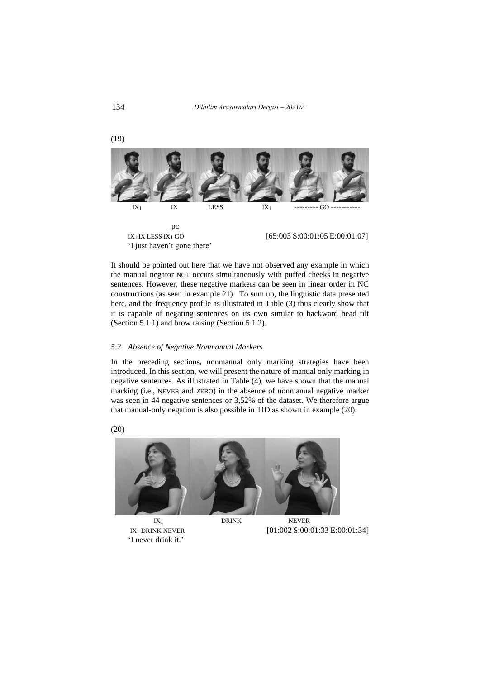134 *Dilbilim Araştırmaları Dergisi – 2021/2*



It should be pointed out here that we have not observed any example in which the manual negator NOT occurs simultaneously with puffed cheeks in negative sentences. However, these negative markers can be seen in linear order in NC constructions (as seen in example 21). To sum up, the linguistic data presented here, and the frequency profile as illustrated in Table (3) thus clearly show that it is capable of negating sentences on its own similar to backward head tilt (Section 5.1.1) and brow raising (Section 5.1.2).

### *5.2 Absence of Negative Nonmanual Markers*

In the preceding sections, nonmanual only marking strategies have been introduced. In this section, we will present the nature of manual only marking in negative sentences. As illustrated in Table (4), we have shown that the manual marking (i.e., NEVER and ZERO) in the absence of nonmanual negative marker was seen in 44 negative sentences or 3,52% of the dataset. We therefore argue that manual-only negation is also possible in TİD as shown in example (20).



<sup>&#</sup>x27;I never drink it.'

IX<sub>1</sub> DRINK NEVER [01:002 S:00:01:33 [E:00:01:34\]](https://drive.google.com/file/d/1zTC6hI1ouc-g4uHWcEJCMBS2hJu1yE2r/view?usp=sharing)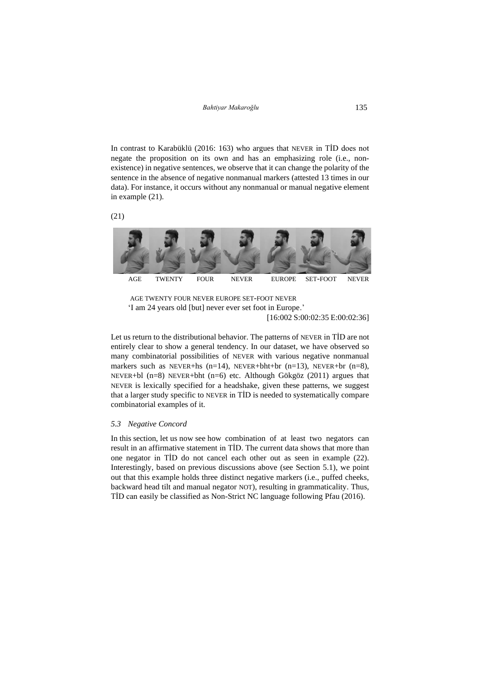In contrast to Karabüklü (2016: 163) who argues that NEVER in TİD does not negate the proposition on its own and has an emphasizing role (i.e., nonexistence) in negative sentences, we observe that it can change the polarity of the sentence in the absence of negative nonmanual markers (attested 13 times in our data). For instance, it occurs without any nonmanual or manual negative element in example (21).





AGE TWENTY FOUR NEVER EUROPE SET-FOOT NEVER 'I am 24 years old [but] never ever set foot in Europe.' [16:002 S:00:02:35 [E:00:02:36\]](https://drive.google.com/file/d/1Qn9FfvIl8yDGQ5MDCElKMNv0b-CRVj6s/view?usp=sharing)

Let us return to the distributional behavior. The patterns of NEVER in TİD are not entirely clear to show a general tendency. In our dataset, we have observed so many combinatorial possibilities of NEVER with various negative nonmanual markers such as NEVER+hs  $(n=14)$ , NEVER+bht+br  $(n=13)$ , NEVER+br  $(n=8)$ , NEVER+bl (n=8) NEVER+bht (n=6) etc. Although Gökgöz (2011) argues that NEVER is lexically specified for a headshake, given these patterns, we suggest that a larger study specific to NEVER in TİD is needed to systematically compare combinatorial examples of it.

#### *5.3 Negative Concord*

In this section, let us now see how combination of at least two negators can result in an affirmative statement in TİD. The current data shows that more than one negator in TİD do not cancel each other out as seen in example (22). Interestingly, based on previous discussions above (see Section 5.1), we point out that this example holds three distinct negative markers (i.e., puffed cheeks, backward head tilt and manual negator NOT), resulting in grammaticality. Thus, TİD can easily be classified as Non-Strict NC language following Pfau (2016).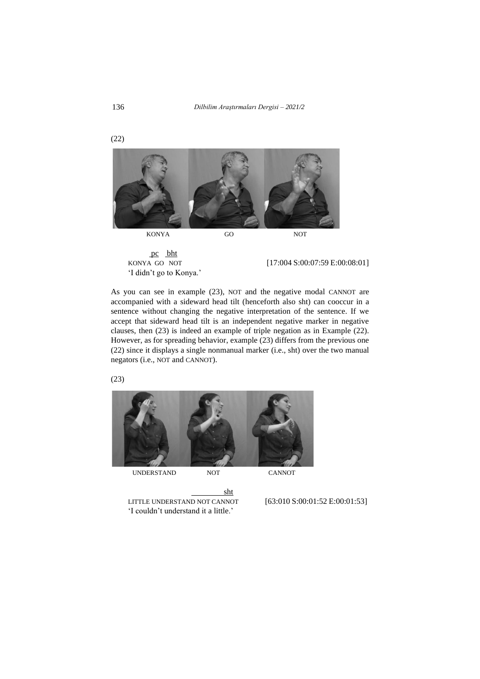136 *Dilbilim Araştırmaları Dergisi – 2021/2*



 pc bht 'I didn't go to Konya.'

KONYA GO NOT [17:004 S:00:07:59 [E:00:08:01\]](https://drive.google.com/file/d/1W0qxGdfcP4vkKgWEZpRBTVNgwRe5Mjkl/view?usp=sharing)

As you can see in example (23), NOT and the negative modal CANNOT are accompanied with a sideward head tilt (henceforth also sht) can cooccur in a sentence without changing the negative interpretation of the sentence. If we accept that sideward head tilt is an independent negative marker in negative clauses, then (23) is indeed an example of triple negation as in Example (22). However, as for spreading behavior, example (23) differs from the previous one (22) since it displays a single nonmanual marker (i.e., sht) over the two manual negators (i.e., NOT and CANNOT).

(23)



sht LITTLE UNDERSTAND NOT CANNOT [63:010 S:00:01:52 [E:00:01:53\]](https://drive.google.com/file/d/1MtzwvT-X2Njtr-abZnw93JBfkeme2Gem/view?usp=sharing) 'I couldn't understand it a little.'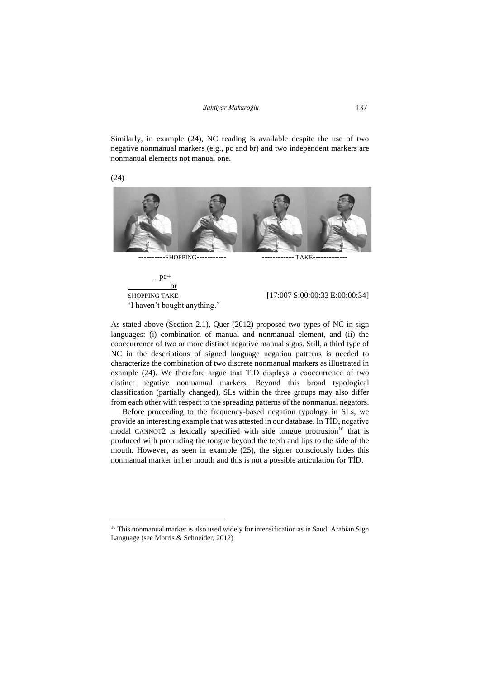Similarly, in example (24), NC reading is available despite the use of two negative nonmanual markers (e.g., pc and br) and two independent markers are nonmanual elements not manual one.



 $pc+$  br SHOPPING TAKE [17:007 S:00:00:33 [E:00:00:34\]](https://drive.google.com/file/d/1wG5W-ti103IoRMSeXWMG7baTA5dgCvLv/view?usp=sharing) 'I haven't bought anything.'

As stated above (Section 2.1), Quer (2012) proposed two types of NC in sign languages: (i) combination of manual and nonmanual element, and (ii) the cooccurrence of two or more distinct negative manual signs. Still, a third type of NC in the descriptions of signed language negation patterns is needed to characterize the combination of two discrete nonmanual markers as illustrated in example (24). We therefore argue that TİD displays a cooccurrence of two distinct negative nonmanual markers. Beyond this broad typological classification (partially changed), SLs within the three groups may also differ from each other with respect to the spreading patterns of the nonmanual negators.

Before proceeding to the frequency-based negation typology in SLs, we provide an interesting example that was attested in our database. In TİD, negative modal CANNOT2 is lexically specified with side tongue protrusion<sup>10</sup> that is produced with protruding the tongue beyond the teeth and lips to the side of the mouth. However, as seen in example (25), the signer consciously hides this nonmanual marker in her mouth and this is not a possible articulation for TİD.

(24)

<sup>&</sup>lt;sup>10</sup> This nonmanual marker is also used widely for intensification as in Saudi Arabian Sign Language (see Morris & Schneider, 2012)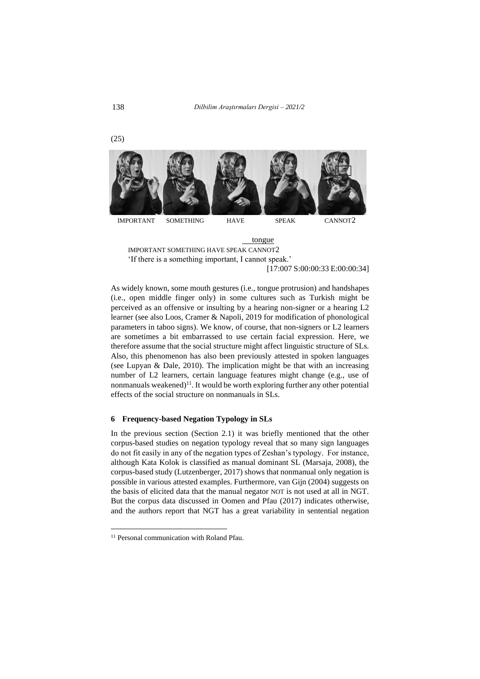IMPORTANT SOMETHING HAVE SPEAK CANNOT2



[17:007 S:00:00:33 [E:00:00:34\]](https://drive.google.com/file/d/1USdyvTmM7joLSBNGaBdokGKQ9q_KtlCx/view?usp=sharing)

As widely known, some mouth gestures (i.e., tongue protrusion) and handshapes (i.e., open middle finger only) in some cultures such as Turkish might be perceived as an offensive or insulting by a hearing non-signer or a hearing L2 learner (see also Loos, Cramer & Napoli, 2019 for modification of phonological parameters in taboo signs). We know, of course, that non-signers or L2 learners are sometimes a bit embarrassed to use certain facial expression. Here, we therefore assume that the social structure might affect linguistic structure of SLs. Also, this phenomenon has also been previously attested in spoken languages (see Lupyan & Dale, 2010). The implication might be that with an increasing number of L2 learners, certain language features might change (e.g., use of nonmanuals weakened) $<sup>11</sup>$ . It would be worth exploring further any other potential</sup> effects of the social structure on nonmanuals in SLs.

#### **6 Frequency-based Negation Typology in SLs**

In the previous section (Section 2.1) it was briefly mentioned that the other corpus-based studies on negation typology reveal that so many sign languages do not fit easily in any of the negation types of Zeshan's typology. For instance, although Kata Kolok is classified as manual dominant SL (Marsaja, 2008), the corpus-based study (Lutzenberger, 2017) shows that nonmanual only negation is possible in various attested examples. Furthermore, van Gijn (2004) suggests on the basis of elicited data that the manual negator NOT is not used at all in NGT. But the corpus data discussed in Oomen and Pfau (2017) indicates otherwise, and the authors report that NGT has a great variability in sentential negation

(25)

<sup>&</sup>lt;sup>11</sup> Personal communication with Roland Pfau.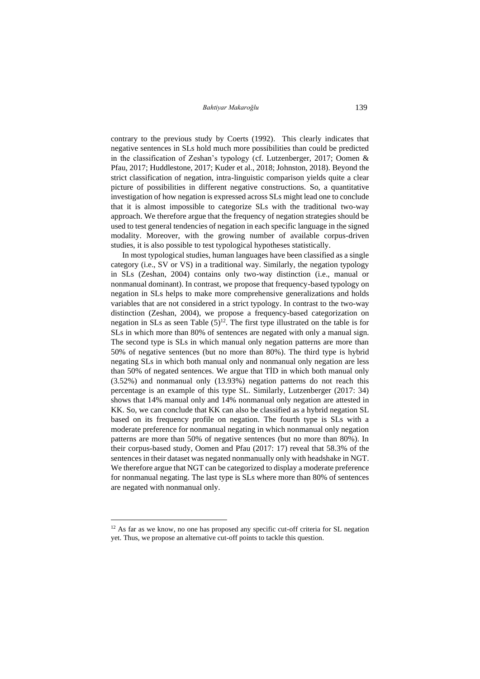contrary to the previous study by Coerts (1992). This clearly indicates that negative sentences in SLs hold much more possibilities than could be predicted in the classification of Zeshan's typology (cf. Lutzenberger, 2017; Oomen & Pfau, 2017; Huddlestone, 2017; Kuder et al., 2018; Johnston, 2018). Beyond the strict classification of negation, intra-linguistic comparison yields quite a clear picture of possibilities in different negative constructions. So, a quantitative investigation of how negation is expressed across SLs might lead one to conclude that it is almost impossible to categorize SLs with the traditional two-way approach. We therefore argue that the frequency of negation strategies should be used to test general tendencies of negation in each specific language in the signed modality. Moreover, with the growing number of available corpus-driven studies, it is also possible to test typological hypotheses statistically.

In most typological studies, human languages have been classified as a single category (i.e., SV or VS) in a traditional way. Similarly, the negation typology in SLs (Zeshan, 2004) contains only two-way distinction (i.e., manual or nonmanual dominant). In contrast, we propose that frequency-based typology on negation in SLs helps to make more comprehensive generalizations and holds variables that are not considered in a strict typology. In contrast to the two-way distinction (Zeshan, 2004), we propose a frequency-based categorization on negation in SLs as seen Table  $(5)^{12}$ . The first type illustrated on the table is for SLs in which more than 80% of sentences are negated with only a manual sign. The second type is SLs in which manual only negation patterns are more than 50% of negative sentences (but no more than 80%). The third type is hybrid negating SLs in which both manual only and nonmanual only negation are less than 50% of negated sentences. We argue that TİD in which both manual only (3.52%) and nonmanual only (13.93%) negation patterns do not reach this percentage is an example of this type SL. Similarly, Lutzenberger (2017: 34) shows that 14% manual only and 14% nonmanual only negation are attested in KK. So, we can conclude that KK can also be classified as a hybrid negation SL based on its frequency profile on negation. The fourth type is SLs with a moderate preference for nonmanual negating in which nonmanual only negation patterns are more than 50% of negative sentences (but no more than 80%). In their corpus-based study, Oomen and Pfau (2017: 17) reveal that 58.3% of the sentences in their dataset was negated nonmanually only with headshake in NGT. We therefore argue that NGT can be categorized to display a moderate preference for nonmanual negating. The last type is SLs where more than 80% of sentences are negated with nonmanual only.

<sup>&</sup>lt;sup>12</sup> As far as we know, no one has proposed any specific cut-off criteria for SL negation yet. Thus, we propose an alternative cut-off points to tackle this question.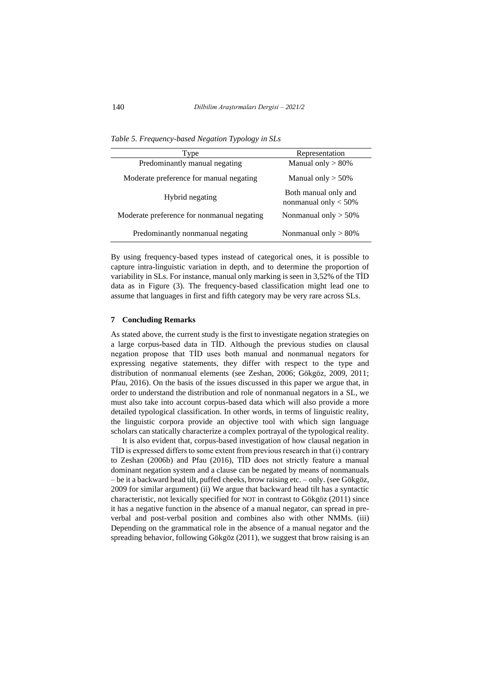*Table 5. Frequency-based Negation Typology in SLs*

| Type                                       | Representation                                 |
|--------------------------------------------|------------------------------------------------|
| Predominantly manual negating              | Manual only $> 80\%$                           |
| Moderate preference for manual negating    | Manual only $>$ 50%                            |
| Hybrid negating                            | Both manual only and<br>nonmanual only $<$ 50% |
| Moderate preference for nonmanual negating | Nonmanual only $> 50\%$                        |
| Predominantly nonmanual negating           | Nonmanual only $> 80\%$                        |

By using frequency-based types instead of categorical ones, it is possible to capture intra-linguistic variation in depth, and to determine the proportion of variability in SLs. For instance, manual only marking is seen in 3,52% of the TİD data as in Figure (3). The frequency-based classification might lead one to assume that languages in first and fifth category may be very rare across SLs.

#### **7 Concluding Remarks**

As stated above, the current study is the first to investigate negation strategies on a large corpus-based data in TİD. Although the previous studies on clausal negation propose that TİD uses both manual and nonmanual negators for expressing negative statements, they differ with respect to the type and distribution of nonmanual elements (see Zeshan, 2006; Gökgöz, 2009, 2011; Pfau, 2016). On the basis of the issues discussed in this paper we argue that, in order to understand the distribution and role of nonmanual negators in a SL, we must also take into account corpus-based data which will also provide a more detailed typological classification. In other words, in terms of linguistic reality, the linguistic corpora provide an objective tool with which sign language scholars can statically characterize a complex portrayal of the typological reality.

It is also evident that, corpus-based investigation of how clausal negation in TİD is expressed differs to some extent from previous research in that (i) contrary to Zeshan (2006b) and Pfau (2016), TİD does not strictly feature a manual dominant negation system and a clause can be negated by means of nonmanuals – be it a backward head tilt, puffed cheeks, brow raising etc. – only. (see Gökgöz, 2009 for similar argument) (ii) We argue that backward head tilt has a syntactic characteristic, not lexically specified for NOT in contrast to Gökgöz (2011) since it has a negative function in the absence of a manual negator, can spread in preverbal and post-verbal position and combines also with other NMMs. (iii) Depending on the grammatical role in the absence of a manual negator and the spreading behavior, following Gökgöz (2011), we suggest that brow raising is an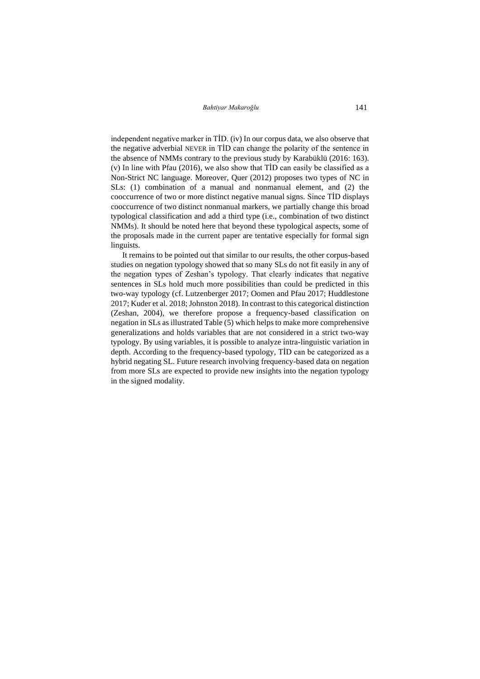*Bahtiyar Makaroğlu* 141

independent negative marker in TİD. (iv) In our corpus data, we also observe that the negative adverbial NEVER in TİD can change the polarity of the sentence in the absence of NMMs contrary to the previous study by Karabüklü (2016: 163). (v) In line with Pfau (2016), we also show that TİD can easily be classified as a Non-Strict NC language. Moreover, Quer (2012) proposes two types of NC in SLs: (1) combination of a manual and nonmanual element, and (2) the cooccurrence of two or more distinct negative manual signs. Since TİD displays cooccurrence of two distinct nonmanual markers, we partially change this broad typological classification and add a third type (i.e., combination of two distinct NMMs). It should be noted here that beyond these typological aspects, some of the proposals made in the current paper are tentative especially for formal sign linguists.

It remains to be pointed out that similar to our results, the other corpus-based studies on negation typology showed that so many SLs do not fit easily in any of the negation types of Zeshan's typology. That clearly indicates that negative sentences in SLs hold much more possibilities than could be predicted in this two-way typology (cf. Lutzenberger 2017; Oomen and Pfau 2017; Huddlestone 2017; Kuder et al. 2018; Johnston 2018). In contrast to this categorical distinction (Zeshan, 2004), we therefore propose a frequency-based classification on negation in SLs as illustrated Table (5) which helps to make more comprehensive generalizations and holds variables that are not considered in a strict two-way typology. By using variables, it is possible to analyze intra-linguistic variation in depth. According to the frequency-based typology, TİD can be categorized as a hybrid negating SL. Future research involving frequency-based data on negation from more SLs are expected to provide new insights into the negation typology in the signed modality.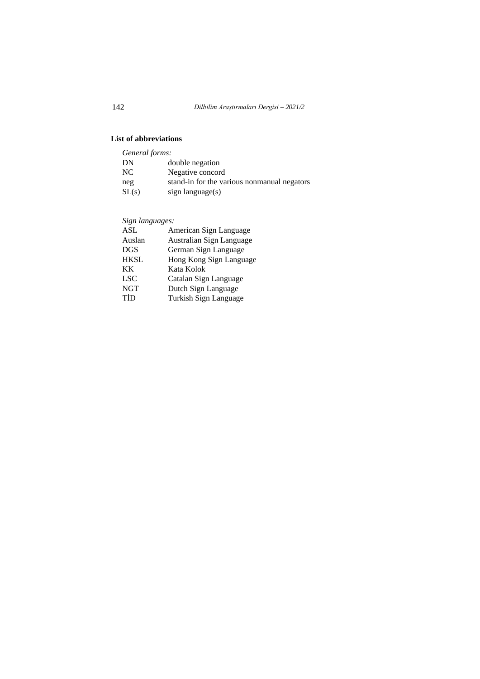# **List of abbreviations**

| General forms: |                                             |
|----------------|---------------------------------------------|
| DN             | double negation                             |
| NC.            | Negative concord                            |
| neg            | stand-in for the various nonmanual negators |
| SL(s)          | sign language(s)                            |

*Sign languages:*

| ASL         | American Sign Language   |
|-------------|--------------------------|
| Auslan      | Australian Sign Language |
| <b>DGS</b>  | German Sign Language     |
| <b>HKSL</b> | Hong Kong Sign Language  |
| KK.         | Kata Kolok               |
| <b>LSC</b>  | Catalan Sign Language    |
| <b>NGT</b>  | Dutch Sign Language      |
| TİD         | Turkish Sign Language    |
|             |                          |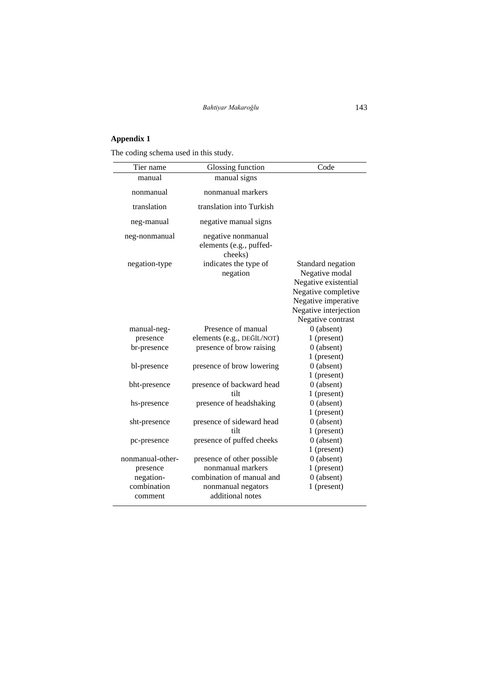# **Appendix 1**

The coding schema used in this study.

| Tier name        | Glossing function                                        | Code                                                                                                                                                    |
|------------------|----------------------------------------------------------|---------------------------------------------------------------------------------------------------------------------------------------------------------|
| manual           | manual signs                                             |                                                                                                                                                         |
| nonmanual        | nonmanual markers                                        |                                                                                                                                                         |
| translation      | translation into Turkish                                 |                                                                                                                                                         |
| neg-manual       | negative manual signs                                    |                                                                                                                                                         |
| neg-nonmanual    | negative nonmanual<br>elements (e.g., puffed-<br>cheeks) |                                                                                                                                                         |
| negation-type    | indicates the type of<br>negation                        | Standard negation<br>Negative modal<br>Negative existential<br>Negative completive<br>Negative imperative<br>Negative interjection<br>Negative contrast |
| manual-neg-      | Presence of manual                                       | $0$ (absent)                                                                                                                                            |
| presence         | elements (e.g., DEĞİL/NOT)                               | 1 (present)                                                                                                                                             |
| br-presence      | presence of brow raising                                 | $0$ (absent)                                                                                                                                            |
|                  |                                                          | 1 (present)                                                                                                                                             |
| bl-presence      | presence of brow lowering                                | $0$ (absent)                                                                                                                                            |
|                  |                                                          | 1 (present)                                                                                                                                             |
| bht-presence     | presence of backward head                                | $0$ (absent)                                                                                                                                            |
|                  | tilt                                                     | 1 (present)                                                                                                                                             |
| hs-presence      | presence of headshaking                                  | $0$ (absent)                                                                                                                                            |
|                  |                                                          | 1 (present)                                                                                                                                             |
| sht-presence     | presence of sideward head                                | $0$ (absent)                                                                                                                                            |
|                  | tilt                                                     | 1 (present)                                                                                                                                             |
| pc-presence      | presence of puffed cheeks                                | $0$ (absent)                                                                                                                                            |
|                  |                                                          | 1 (present)                                                                                                                                             |
| nonmanual-other- | presence of other possible                               | $0$ (absent)                                                                                                                                            |
| presence         | nonmanual markers                                        | 1 (present)                                                                                                                                             |
| negation-        | combination of manual and                                | $0$ (absent)                                                                                                                                            |
| combination      | nonmanual negators                                       | 1 (present)                                                                                                                                             |
| comment          | additional notes                                         |                                                                                                                                                         |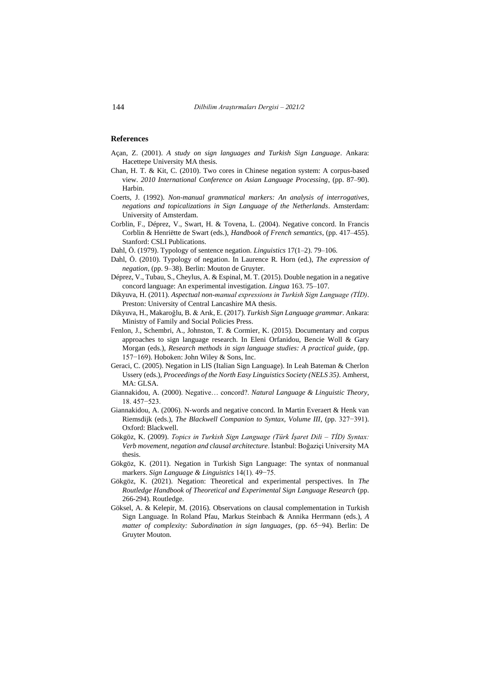### **References**

- Açan, Z. (2001). *A study on sign languages and Turkish Sign Language*. Ankara: Hacettepe University MA thesis.
- Chan, H. T. & Kit, C. (2010). Two cores in Chinese negation system: A corpus-based view. *2010 International Conference on Asian Language Processing*, (pp. 87–90). Harbin.
- Coerts, J. (1992). *Non-manual grammatical markers: An analysis of interrogatives, negations and topicalizations in Sign Language of the Netherlands*. Amsterdam: University of Amsterdam.
- Corblin, F., Déprez, V., Swart, H. & Tovena, L. (2004). Negative concord. In Francis Corblin & Henriëtte de Swart (eds.), *Handbook of French semantics*, (pp. 417–455). Stanford: CSLI Publications.
- Dahl, Ö. (1979). Typology of sentence negation. *Linguistics* 17(1–2). 79–106.
- Dahl, Ö. (2010). Typology of negation. In Laurence R. Horn (ed.), *The expression of negation*, (pp. 9–38). Berlin: Mouton de Gruyter.
- Déprez, V., Tubau, S., Cheylus, A. & Espinal, M. T. (2015). Double negation in a negative concord language: An experimental investigation. *Lingua* 163. 75–107.
- Dikyuva, H. (2011). *Aspectual non-manual expressions in Turkish Sign Language (TİD)*. Preston: University of Central Lancashire MA thesis.
- Dikyuva, H., Makaroğlu, B. & Arık, E. (2017). *Turkish Sign Language grammar*. Ankara: Ministry of Family and Social Policies Press.
- Fenlon, J., Schembri, A., Johnston, T. & Cormier, K. (2015). Documentary and corpus approaches to sign language research. In Eleni Orfanidou, Bencie Woll & Gary Morgan (eds.), *Research methods in sign language studies: A practical guide*, (pp. 157−169). Hoboken: John Wiley & Sons, Inc.
- Geraci, C. (2005). Negation in LIS (Italian Sign Language). In Leah Bateman & Cherlon Ussery (eds.), *Proceedings of the North Easy Linguistics Society (NELS 35)*. Amherst, MA: GLSA.
- Giannakidou, A. (2000). Negative… concord?. *Natural Language & Linguistic Theory*, 18. 457−523.
- Giannakidou, A. (2006). N-words and negative concord. In Martin Everaert & Henk van Riemsdijk (eds.), *The Blackwell Companion to Syntax, Volume III*, (pp. 327−391). Oxford: Blackwell.
- Gökgöz, K. (2009). *Topics in Turkish Sign Language (Türk İşaret Dili – TİD) Syntax: Verb movement, negation and clausal architecture*. İstanbul: Boğaziçi University MA thesis.
- Gökgöz, K. (2011). Negation in Turkish Sign Language: The syntax of nonmanual markers. *Sign Language & Linguistics* 14(1). 49−75.
- Gökgöz, K. (2021). Negation: Theoretical and experimental perspectives. In *The Routledge Handbook of Theoretical and Experimental Sign Language Research (pp.* 266-294). Routledge.
- Göksel, A. & Kelepir, M. (2016). Observations on clausal complementation in Turkish Sign Language. In Roland Pfau, Markus Steinbach & Annika Herrmann (eds.), *A matter of complexity: Subordination in sign languages*, (pp. 65−94). Berlin: De Gruyter Mouton.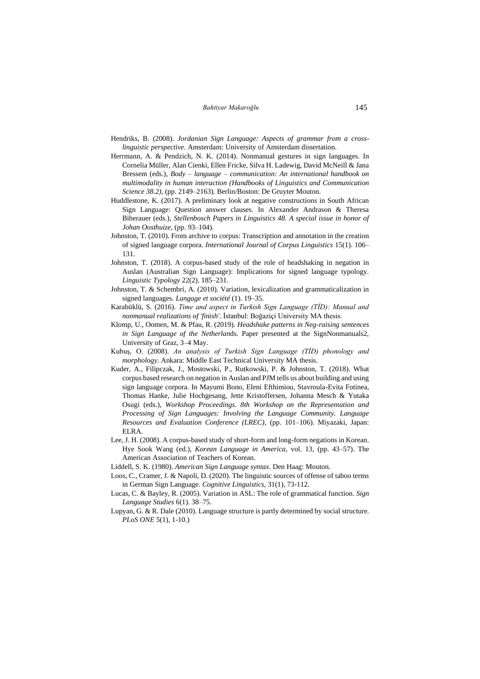- Hendriks, B. (2008). *Jordanian Sign Language: Aspects of grammar from a crosslinguistic perspective*. Amsterdam: University of Amsterdam dissertation.
- Herrmann, A. & Pendzich, N. K. (2014). Nonmanual gestures in sign languages. In Cornelia Müller, Alan Cienki, Ellen Fricke, Silva H. Ladewig, David McNeill & Jana Bressem (eds.), *Body – language – communication: An international handbook on multimodality in human interaction (Handbooks of Linguistics and Communication Science 38.2)*, (pp. 2149–2163). Berlin/Boston: De Gruyter Mouton.
- Huddlestone, K. (2017). A preliminary look at negative constructions in South African Sign Language: Question answer clauses. In Alexander Andrason & Theresa Biberauer (eds.), *Stellenbosch Papers in Linguistics 48. A special issue in honor of Johan Oosthuize*, (pp. 93–104).
- Johnston, T. (2010). From archive to corpus: Transcription and annotation in the creation of signed language corpora. *International Journal of Corpus Linguistics* 15(1). 106– 131.
- Johnston, T. (2018). A corpus-based study of the role of headshaking in negation in Auslan (Australian Sign Language): Implications for signed language typology. *Linguistic Typology* 22(2). 185–231.
- Johnston, T. & Schembri, A. (2010). Variation, lexicalization and grammaticalization in signed languages*. Langage et société* (1). 19–35.
- Karabüklü, S. (2016). *Time and aspect in Turkish Sign Language (TİD): Manual and nonmanual realizations of 'finish'*. İstanbul: Boğaziçi University MA thesis.
- Klomp, U., Oomen, M. & Pfau, R. (2019). *Headshake patterns in Neg-raising sentences in Sign Language of the Netherlan*ds. Paper presented at the SignNonmanuals2, University of Graz, 3–4 May.
- Kubuş, O. (2008). *An analysis of Turkish Sign Language (TİD) phonology and morphology*. Ankara: Middle East Technical University MA thesis.
- Kuder, A., Filipczak, J., Mostowski, P., Rutkowski, P. & Johnston, T. (2018). What corpus based research on negation in Auslan and PJM tells us about building and using sign language corpora. In Mayumi Bono, Eleni Efthimiou, Stavroula-Evita Fotinea, Thomas Hanke, Julie Hochgesang, Jette Kristoffersen, Johanna Mesch & Yutaka Osugi (eds.), *Workshop Proceedings. 8th Workshop on the Representation and Processing of Sign Languages: Involving the Language Community. Language Resources and Evaluation Conference (LREC)*, (pp. 101–106). Miyazaki, Japan: ELRA.
- Lee, J. H. (2008). A corpus-based study of short-form and long-form negations in Korean. Hye Sook Wang (ed.), *Korean Language in America*, vol. 13, (pp. 43–57). The American Association of Teachers of Korean.
- Liddell, S. K. (1980). *American Sign Language syntax*. Den Haag: Mouton.
- Loos, C., Cramer, J. & Napoli, D. (2020). The linguistic sources of offense of taboo terms in German Sign Language. *Cognitive Linguistics*, 31(1), 73-112.
- Lucas, C. & Bayley, R. (2005). Variation in ASL: The role of grammatical function. *Sign Language Studies* 6(1). 38–75.
- Lupyan, G. & R. Dale (2010). Language structure is partly determined by social structure. *PLoS ONE* 5(1), 1-10.)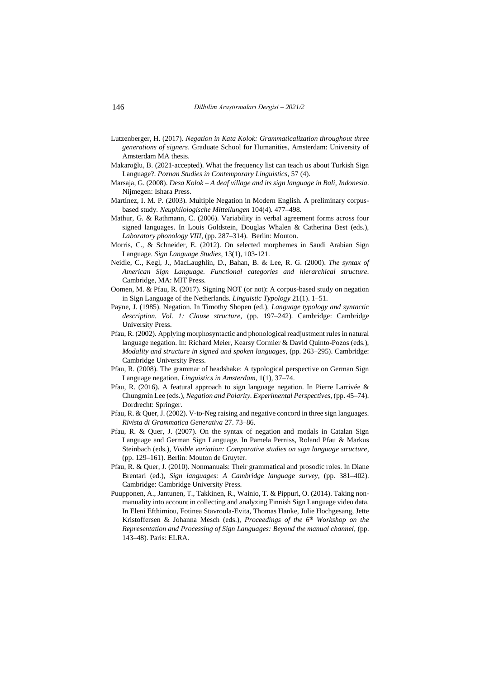- Lutzenberger, H. (2017). *Negation in Kata Kolok: Grammaticalization throughout three generations of signers*. Graduate School for Humanities, Amsterdam: University of Amsterdam MA thesis.
- Makaroğlu, B. (2021-accepted). What the frequency list can teach us about Turkish Sign Language?. *Poznan Studies in Contemporary Linguistics*, 57 (4).
- Marsaja, G. (2008). *Desa Kolok – A deaf village and its sign language in Bali, Indonesia*. Nijmegen: Ishara Press.
- Martínez, I. M. P. (2003). Multiple Negation in Modern English. A preliminary corpusbased study*. Neuphilologische Mitteilungen* 104(4). 477–498.
- Mathur, G. & Rathmann, C. (2006). Variability in verbal agreement forms across four signed languages. In Louis Goldstein, Douglas Whalen & Catherina Best (eds.), *Laboratory phonology VIII*, (pp. 287–314). Berlin: Mouton.
- Morris, C., & Schneider, E. (2012). On selected morphemes in Saudi Arabian Sign Language. *Sign Language Studies*, 13(1), 103-121.
- Neidle, C., Kegl, J., MacLaughlin, D., Bahan, B. & Lee, R. G. (2000). *The syntax of American Sign Language. Functional categories and hierarchical structure*. Cambridge, MA: MIT Press.
- Oomen, M. & Pfau, R. (2017). Signing NOT (or not): A corpus-based study on negation in Sign Language of the Netherlands. *Linguistic Typology* 21(1). 1–51.
- Payne, J. (1985). Negation. In Timothy Shopen (ed.), *Language typology and syntactic description. Vol. 1: Clause structure*, (pp. 197–242). Cambridge: Cambridge University Press.
- Pfau, R. (2002). Applying morphosyntactic and phonological readjustment rules in natural language negation. In: Richard Meier, Kearsy Cormier & David Quinto-Pozos (eds.), *Modality and structure in signed and spoken languages*, (pp. 263–295). Cambridge: Cambridge University Press.
- Pfau, R. (2008). The grammar of headshake: A typological perspective on German Sign Language negation. *Linguistics in Amsterdam*, 1(1), 37–74.
- Pfau, R. (2016). A featural approach to sign language negation. In Pierre Larrivée & Chungmin Lee (eds.), *Negation and Polarity. Experimental Perspectives*, (pp. 45–74). Dordrecht: Springer.
- Pfau, R. & Quer, J. (2002). V-to-Neg raising and negative concord in three sign languages. *Rivista di Grammatica Generativa* 27. 73–86.
- Pfau, R. & Quer, J. (2007). On the syntax of negation and modals in Catalan Sign Language and German Sign Language. In Pamela Perniss, Roland Pfau & Markus Steinbach (eds.), *Visible variation: Comparative studies on sign language structure*, (pp. 129–161). Berlin: Mouton de Gruyter.
- Pfau, R. & Quer, J. (2010). Nonmanuals: Their grammatical and prosodic roles. In Diane Brentari (ed.), *Sign languages: A Cambridge language survey*, (pp. 381–402). Cambridge: Cambridge University Press.
- Puupponen, A., Jantunen, T., Takkinen, R., Wainio, T. & Pippuri, O. (2014). Taking nonmanuality into account in collecting and analyzing Finnish Sign Language video data. In Eleni Efthimiou, Fotinea Stavroula-Evita, Thomas Hanke, Julie Hochgesang, Jette Kristoffersen & Johanna Mesch (eds.), *Proceedings of the 6th Workshop on the Representation and Processing of Sign Languages: Beyond the manual channel*, (pp. 143–48). Paris: ELRA.